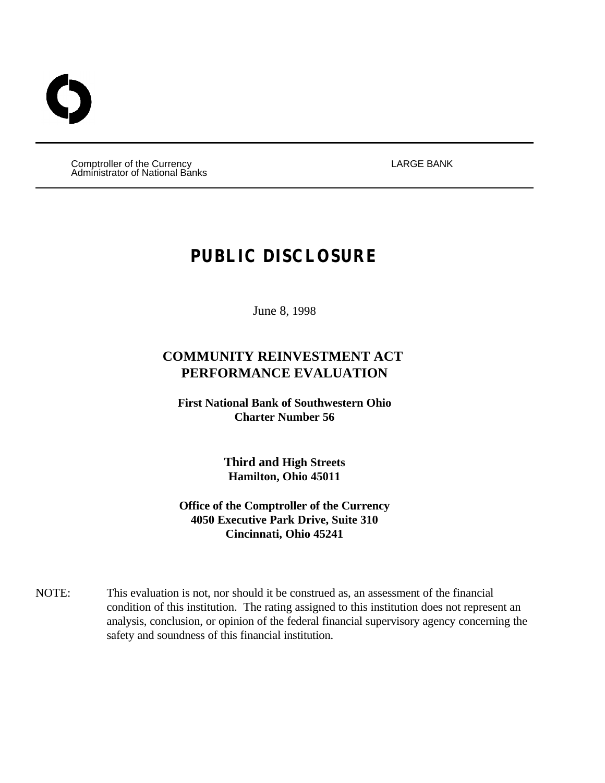Comptroller of the Currency LARGE BANK Administrator of National Banks

# **PUBLIC DISCLOSURE**

June 8, 1998

# **COMMUNITY REINVESTMENT ACT PERFORMANCE EVALUATION**

**First National Bank of Southwestern Ohio Charter Number 56**

> **Third and High Streets Hamilton, Ohio 45011**

**Office of the Comptroller of the Currency 4050 Executive Park Drive, Suite 310 Cincinnati, Ohio 45241**

NOTE: This evaluation is not, nor should it be construed as, an assessment of the financial condition of this institution. The rating assigned to this institution does not represent an analysis, conclusion, or opinion of the federal financial supervisory agency concerning the safety and soundness of this financial institution.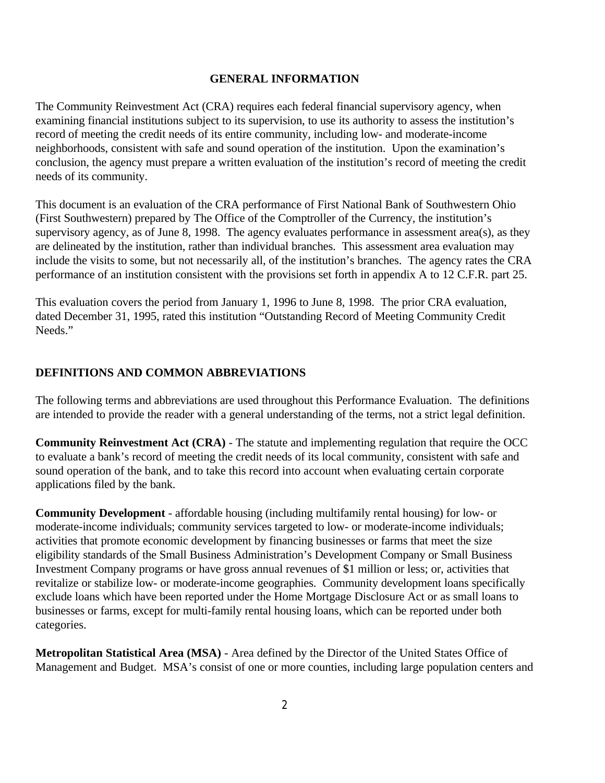#### **GENERAL INFORMATION**

The Community Reinvestment Act (CRA) requires each federal financial supervisory agency, when examining financial institutions subject to its supervision, to use its authority to assess the institution's record of meeting the credit needs of its entire community, including low- and moderate-income neighborhoods, consistent with safe and sound operation of the institution. Upon the examination's conclusion, the agency must prepare a written evaluation of the institution's record of meeting the credit needs of its community.

This document is an evaluation of the CRA performance of First National Bank of Southwestern Ohio (First Southwestern) prepared by The Office of the Comptroller of the Currency, the institution's supervisory agency, as of June 8, 1998. The agency evaluates performance in assessment area(s), as they are delineated by the institution, rather than individual branches. This assessment area evaluation may include the visits to some, but not necessarily all, of the institution's branches. The agency rates the CRA performance of an institution consistent with the provisions set forth in appendix A to 12 C.F.R. part 25.

This evaluation covers the period from January 1, 1996 to June 8, 1998. The prior CRA evaluation, dated December 31, 1995, rated this institution "Outstanding Record of Meeting Community Credit Needs."

#### **DEFINITIONS AND COMMON ABBREVIATIONS**

The following terms and abbreviations are used throughout this Performance Evaluation. The definitions are intended to provide the reader with a general understanding of the terms, not a strict legal definition.

**Community Reinvestment Act (CRA)** - The statute and implementing regulation that require the OCC to evaluate a bank's record of meeting the credit needs of its local community, consistent with safe and sound operation of the bank, and to take this record into account when evaluating certain corporate applications filed by the bank.

**Community Development** - affordable housing (including multifamily rental housing) for low- or moderate-income individuals; community services targeted to low- or moderate-income individuals; activities that promote economic development by financing businesses or farms that meet the size eligibility standards of the Small Business Administration's Development Company or Small Business Investment Company programs or have gross annual revenues of \$1 million or less; or, activities that revitalize or stabilize low- or moderate-income geographies. Community development loans specifically exclude loans which have been reported under the Home Mortgage Disclosure Act or as small loans to businesses or farms, except for multi-family rental housing loans, which can be reported under both categories.

**Metropolitan Statistical Area (MSA)** - Area defined by the Director of the United States Office of Management and Budget. MSA's consist of one or more counties, including large population centers and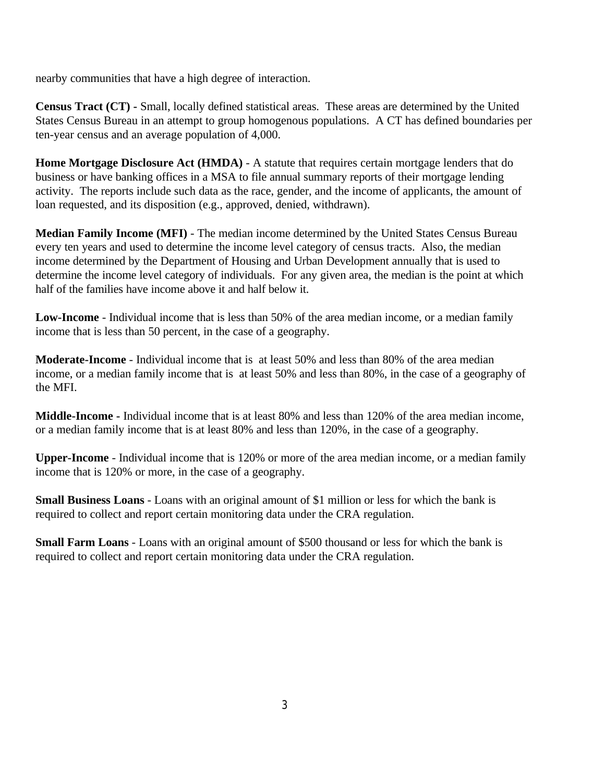nearby communities that have a high degree of interaction.

**Census Tract (CT) -** Small, locally defined statistical areas. These areas are determined by the United States Census Bureau in an attempt to group homogenous populations. A CT has defined boundaries per ten-year census and an average population of 4,000.

**Home Mortgage Disclosure Act (HMDA)** - A statute that requires certain mortgage lenders that do business or have banking offices in a MSA to file annual summary reports of their mortgage lending activity. The reports include such data as the race, gender, and the income of applicants, the amount of loan requested, and its disposition (e.g., approved, denied, withdrawn).

**Median Family Income (MFI)** - The median income determined by the United States Census Bureau every ten years and used to determine the income level category of census tracts. Also, the median income determined by the Department of Housing and Urban Development annually that is used to determine the income level category of individuals. For any given area, the median is the point at which half of the families have income above it and half below it.

**Low-Income** - Individual income that is less than 50% of the area median income, or a median family income that is less than 50 percent, in the case of a geography.

**Moderate-Income** - Individual income that is at least 50% and less than 80% of the area median income, or a median family income that is at least 50% and less than 80%, in the case of a geography of the MFI.

**Middle-Income -** Individual income that is at least 80% and less than 120% of the area median income, or a median family income that is at least 80% and less than 120%, in the case of a geography.

**Upper-Income** - Individual income that is 120% or more of the area median income, or a median family income that is 120% or more, in the case of a geography.

**Small Business Loans** - Loans with an original amount of \$1 million or less for which the bank is required to collect and report certain monitoring data under the CRA regulation.

**Small Farm Loans** - Loans with an original amount of \$500 thousand or less for which the bank is required to collect and report certain monitoring data under the CRA regulation.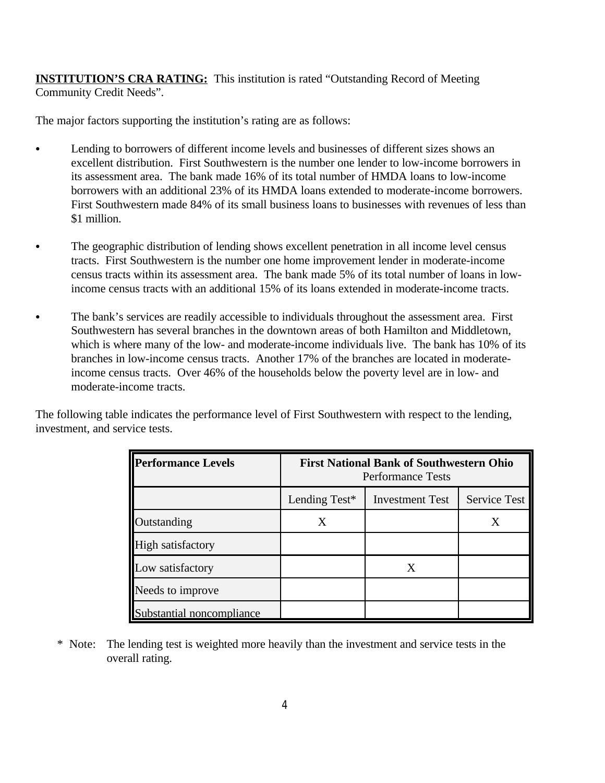**INSTITUTION'S CRA RATING:** This institution is rated "Outstanding Record of Meeting Community Credit Needs".

The major factors supporting the institution's rating are as follows:

- Lending to borrowers of different income levels and businesses of different sizes shows an excellent distribution. First Southwestern is the number one lender to low-income borrowers in its assessment area. The bank made 16% of its total number of HMDA loans to low-income borrowers with an additional 23% of its HMDA loans extended to moderate-income borrowers. First Southwestern made 84% of its small business loans to businesses with revenues of less than \$1 million.
- The geographic distribution of lending shows excellent penetration in all income level census tracts. First Southwestern is the number one home improvement lender in moderate-income census tracts within its assessment area. The bank made 5% of its total number of loans in lowincome census tracts with an additional 15% of its loans extended in moderate-income tracts.
- The bank's services are readily accessible to individuals throughout the assessment area. First Southwestern has several branches in the downtown areas of both Hamilton and Middletown, which is where many of the low- and moderate-income individuals live. The bank has 10% of its branches in low-income census tracts. Another 17% of the branches are located in moderateincome census tracts. Over 46% of the households below the poverty level are in low- and moderate-income tracts.

The following table indicates the performance level of First Southwestern with respect to the lending, investment, and service tests.

| <b>Performance Levels</b> |               | <b>First National Bank of Southwestern Ohio</b><br><b>Performance Tests</b> |              |
|---------------------------|---------------|-----------------------------------------------------------------------------|--------------|
|                           | Lending Test* | <b>Investment Test</b>                                                      | Service Test |
| Outstanding               | X             |                                                                             | X            |
| High satisfactory         |               |                                                                             |              |
| Low satisfactory          |               | X                                                                           |              |
| Needs to improve          |               |                                                                             |              |
| Substantial noncompliance |               |                                                                             |              |

 \* Note: The lending test is weighted more heavily than the investment and service tests in the overall rating.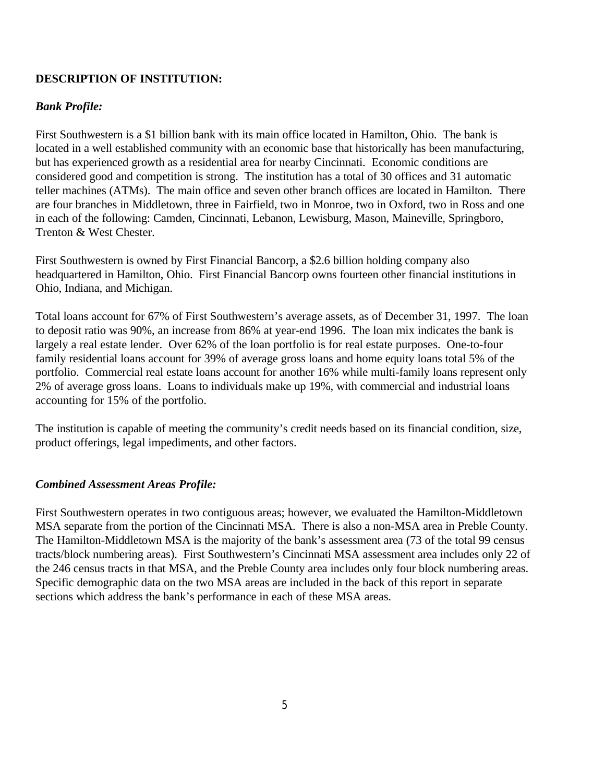# **DESCRIPTION OF INSTITUTION:**

# *Bank Profile:*

First Southwestern is a \$1 billion bank with its main office located in Hamilton, Ohio. The bank is located in a well established community with an economic base that historically has been manufacturing, but has experienced growth as a residential area for nearby Cincinnati. Economic conditions are considered good and competition is strong. The institution has a total of 30 offices and 31 automatic teller machines (ATMs). The main office and seven other branch offices are located in Hamilton. There are four branches in Middletown, three in Fairfield, two in Monroe, two in Oxford, two in Ross and one in each of the following: Camden, Cincinnati, Lebanon, Lewisburg, Mason, Maineville, Springboro, Trenton & West Chester.

First Southwestern is owned by First Financial Bancorp, a \$2.6 billion holding company also headquartered in Hamilton, Ohio. First Financial Bancorp owns fourteen other financial institutions in Ohio, Indiana, and Michigan.

Total loans account for 67% of First Southwestern's average assets, as of December 31, 1997. The loan to deposit ratio was 90%, an increase from 86% at year-end 1996. The loan mix indicates the bank is largely a real estate lender. Over 62% of the loan portfolio is for real estate purposes. One-to-four family residential loans account for 39% of average gross loans and home equity loans total 5% of the portfolio. Commercial real estate loans account for another 16% while multi-family loans represent only 2% of average gross loans. Loans to individuals make up 19%, with commercial and industrial loans accounting for 15% of the portfolio.

The institution is capable of meeting the community's credit needs based on its financial condition, size, product offerings, legal impediments, and other factors.

# *Combined Assessment Areas Profile:*

First Southwestern operates in two contiguous areas; however, we evaluated the Hamilton-Middletown MSA separate from the portion of the Cincinnati MSA. There is also a non-MSA area in Preble County. The Hamilton-Middletown MSA is the majority of the bank's assessment area (73 of the total 99 census tracts/block numbering areas). First Southwestern's Cincinnati MSA assessment area includes only 22 of the 246 census tracts in that MSA, and the Preble County area includes only four block numbering areas. Specific demographic data on the two MSA areas are included in the back of this report in separate sections which address the bank's performance in each of these MSA areas.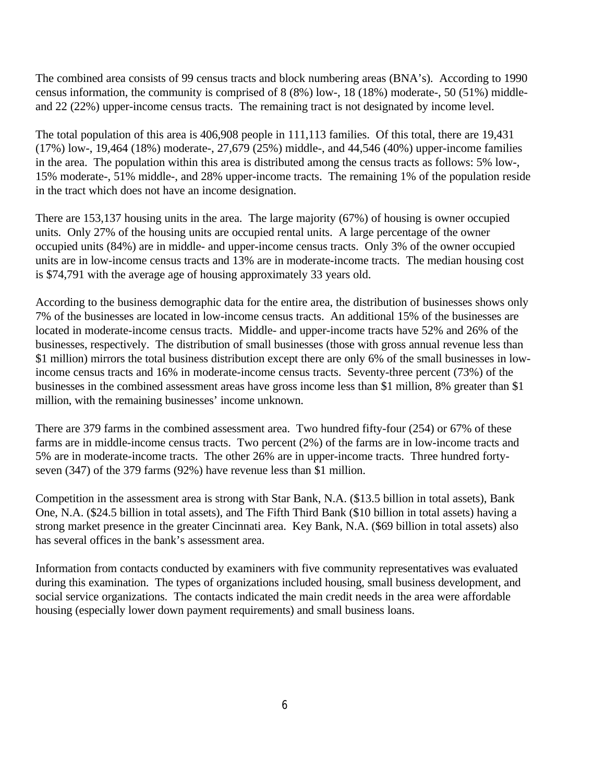The combined area consists of 99 census tracts and block numbering areas (BNA's). According to 1990 census information, the community is comprised of 8 (8%) low-, 18 (18%) moderate-, 50 (51%) middleand 22 (22%) upper-income census tracts. The remaining tract is not designated by income level.

The total population of this area is 406,908 people in 111,113 families. Of this total, there are 19,431 (17%) low-, 19,464 (18%) moderate-, 27,679 (25%) middle-, and 44,546 (40%) upper-income families in the area. The population within this area is distributed among the census tracts as follows: 5% low-, 15% moderate-, 51% middle-, and 28% upper-income tracts. The remaining 1% of the population reside in the tract which does not have an income designation.

There are 153,137 housing units in the area. The large majority (67%) of housing is owner occupied units. Only 27% of the housing units are occupied rental units. A large percentage of the owner occupied units (84%) are in middle- and upper-income census tracts. Only 3% of the owner occupied units are in low-income census tracts and 13% are in moderate-income tracts. The median housing cost is \$74,791 with the average age of housing approximately 33 years old.

According to the business demographic data for the entire area, the distribution of businesses shows only 7% of the businesses are located in low-income census tracts. An additional 15% of the businesses are located in moderate-income census tracts. Middle- and upper-income tracts have 52% and 26% of the businesses, respectively. The distribution of small businesses (those with gross annual revenue less than \$1 million) mirrors the total business distribution except there are only 6% of the small businesses in lowincome census tracts and 16% in moderate-income census tracts. Seventy-three percent (73%) of the businesses in the combined assessment areas have gross income less than \$1 million, 8% greater than \$1 million, with the remaining businesses' income unknown.

There are 379 farms in the combined assessment area. Two hundred fifty-four (254) or 67% of these farms are in middle-income census tracts. Two percent (2%) of the farms are in low-income tracts and 5% are in moderate-income tracts. The other 26% are in upper-income tracts. Three hundred fortyseven (347) of the 379 farms (92%) have revenue less than \$1 million.

Competition in the assessment area is strong with Star Bank, N.A. (\$13.5 billion in total assets), Bank One, N.A. (\$24.5 billion in total assets), and The Fifth Third Bank (\$10 billion in total assets) having a strong market presence in the greater Cincinnati area. Key Bank, N.A. (\$69 billion in total assets) also has several offices in the bank's assessment area.

Information from contacts conducted by examiners with five community representatives was evaluated during this examination. The types of organizations included housing, small business development, and social service organizations. The contacts indicated the main credit needs in the area were affordable housing (especially lower down payment requirements) and small business loans.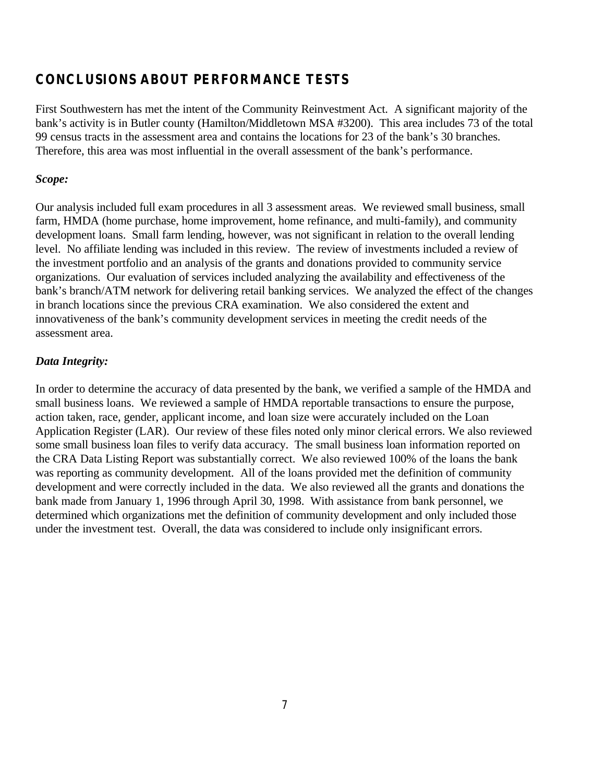# **CONCLUSIONS ABOUT PERFORMANCE TESTS**

First Southwestern has met the intent of the Community Reinvestment Act. A significant majority of the bank's activity is in Butler county (Hamilton/Middletown MSA #3200). This area includes 73 of the total 99 census tracts in the assessment area and contains the locations for 23 of the bank's 30 branches. Therefore, this area was most influential in the overall assessment of the bank's performance.

# *Scope:*

Our analysis included full exam procedures in all 3 assessment areas. We reviewed small business, small farm, HMDA (home purchase, home improvement, home refinance, and multi-family), and community development loans. Small farm lending, however, was not significant in relation to the overall lending level. No affiliate lending was included in this review. The review of investments included a review of the investment portfolio and an analysis of the grants and donations provided to community service organizations. Our evaluation of services included analyzing the availability and effectiveness of the bank's branch/ATM network for delivering retail banking services. We analyzed the effect of the changes in branch locations since the previous CRA examination. We also considered the extent and innovativeness of the bank's community development services in meeting the credit needs of the assessment area.

# *Data Integrity:*

In order to determine the accuracy of data presented by the bank, we verified a sample of the HMDA and small business loans. We reviewed a sample of HMDA reportable transactions to ensure the purpose, action taken, race, gender, applicant income, and loan size were accurately included on the Loan Application Register (LAR). Our review of these files noted only minor clerical errors. We also reviewed some small business loan files to verify data accuracy. The small business loan information reported on the CRA Data Listing Report was substantially correct. We also reviewed 100% of the loans the bank was reporting as community development. All of the loans provided met the definition of community development and were correctly included in the data. We also reviewed all the grants and donations the bank made from January 1, 1996 through April 30, 1998. With assistance from bank personnel, we determined which organizations met the definition of community development and only included those under the investment test. Overall, the data was considered to include only insignificant errors.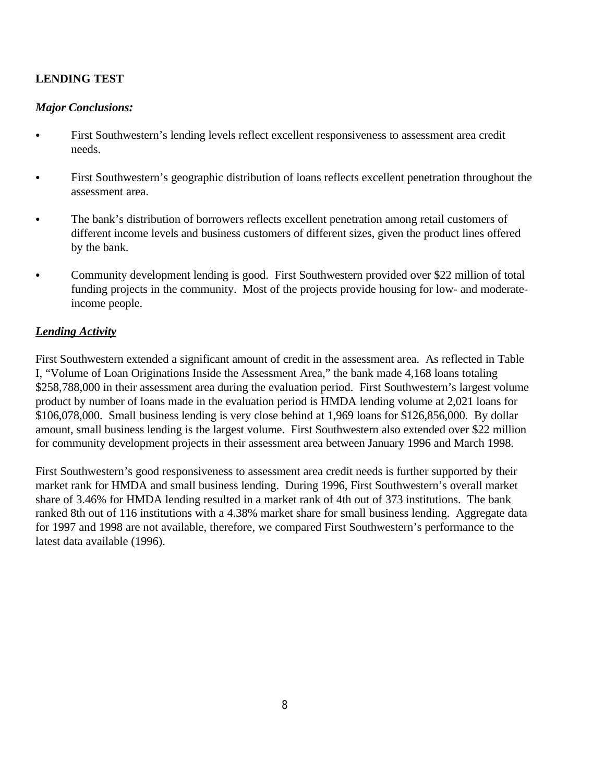# **LENDING TEST**

### *Major Conclusions:*

- First Southwestern's lending levels reflect excellent responsiveness to assessment area credit needs.
- First Southwestern's geographic distribution of loans reflects excellent penetration throughout the assessment area.
- The bank's distribution of borrowers reflects excellent penetration among retail customers of different income levels and business customers of different sizes, given the product lines offered by the bank.
- Community development lending is good. First Southwestern provided over \$22 million of total funding projects in the community. Most of the projects provide housing for low- and moderateincome people.

# *Lending Activity*

First Southwestern extended a significant amount of credit in the assessment area. As reflected in Table I, "Volume of Loan Originations Inside the Assessment Area," the bank made 4,168 loans totaling \$258,788,000 in their assessment area during the evaluation period. First Southwestern's largest volume product by number of loans made in the evaluation period is HMDA lending volume at 2,021 loans for \$106,078,000. Small business lending is very close behind at 1,969 loans for \$126,856,000. By dollar amount, small business lending is the largest volume. First Southwestern also extended over \$22 million for community development projects in their assessment area between January 1996 and March 1998.

First Southwestern's good responsiveness to assessment area credit needs is further supported by their market rank for HMDA and small business lending. During 1996, First Southwestern's overall market share of 3.46% for HMDA lending resulted in a market rank of 4th out of 373 institutions. The bank ranked 8th out of 116 institutions with a 4.38% market share for small business lending. Aggregate data for 1997 and 1998 are not available, therefore, we compared First Southwestern's performance to the latest data available (1996).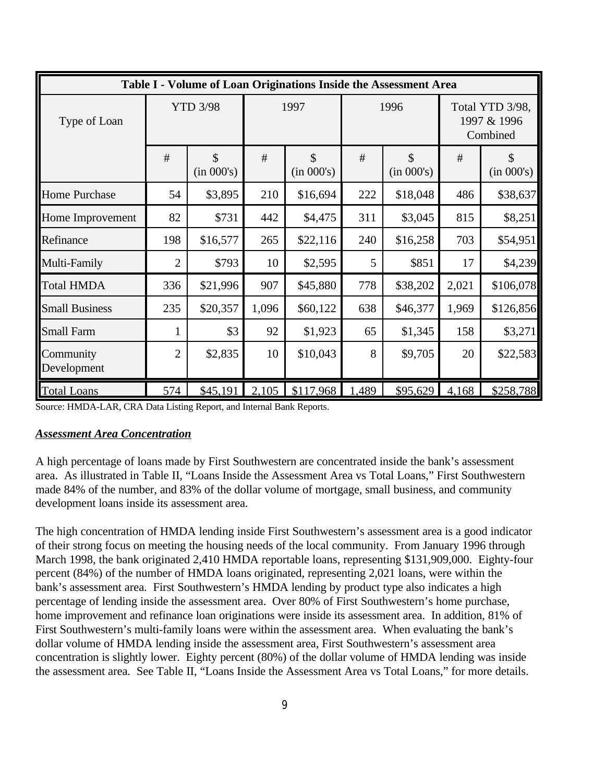|                          |                 |                             |       |                             |       | Table I - Volume of Loan Originations Inside the Assessment Area |                                            |                  |
|--------------------------|-----------------|-----------------------------|-------|-----------------------------|-------|------------------------------------------------------------------|--------------------------------------------|------------------|
| Type of Loan             | <b>YTD 3/98</b> |                             |       | 1997                        |       | 1996                                                             | Total YTD 3/98,<br>1997 & 1996<br>Combined |                  |
|                          | #               | $\mathcal{S}$<br>(in 000's) | #     | $\mathcal{S}$<br>(in 000's) | #     | \$<br>(in 000's)                                                 | #                                          | \$<br>(in 000's) |
| <b>Home Purchase</b>     | 54              | \$3,895                     | 210   | \$16,694                    | 222   | \$18,048                                                         | 486                                        | \$38,637         |
| Home Improvement         | 82              | \$731                       | 442   | \$4,475                     | 311   | \$3,045                                                          | 815                                        | \$8,251          |
| Refinance                | 198             | \$16,577                    | 265   | \$22,116                    | 240   | \$16,258                                                         | 703                                        | \$54,951         |
| Multi-Family             | $\overline{2}$  | \$793                       | 10    | \$2,595                     | 5     | \$851                                                            | 17                                         | \$4,239          |
| <b>Total HMDA</b>        | 336             | \$21,996                    | 907   | \$45,880                    | 778   | \$38,202                                                         | 2,021                                      | \$106,078        |
| <b>Small Business</b>    | 235             | \$20,357                    | 1,096 | \$60,122                    | 638   | \$46,377                                                         | 1,969                                      | \$126,856        |
| <b>Small Farm</b>        |                 | \$3                         | 92    | \$1,923                     | 65    | \$1,345                                                          | 158                                        | \$3,271          |
| Community<br>Development | $\overline{2}$  | \$2,835                     | 10    | \$10,043                    | 8     | \$9,705                                                          | 20                                         | \$22,583         |
| <b>Total Loans</b>       | 574             | \$45,191                    | 2,105 | \$117,968                   | 1,489 | \$95,629                                                         | 4,168                                      | \$258,788        |

Source: HMDA-LAR, CRA Data Listing Report, and Internal Bank Reports.

#### *Assessment Area Concentration*

A high percentage of loans made by First Southwestern are concentrated inside the bank's assessment area. As illustrated in Table II, "Loans Inside the Assessment Area vs Total Loans," First Southwestern made 84% of the number, and 83% of the dollar volume of mortgage, small business, and community development loans inside its assessment area.

The high concentration of HMDA lending inside First Southwestern's assessment area is a good indicator of their strong focus on meeting the housing needs of the local community. From January 1996 through March 1998, the bank originated 2,410 HMDA reportable loans, representing \$131,909,000. Eighty-four percent (84%) of the number of HMDA loans originated, representing 2,021 loans, were within the bank's assessment area. First Southwestern's HMDA lending by product type also indicates a high percentage of lending inside the assessment area. Over 80% of First Southwestern's home purchase, home improvement and refinance loan originations were inside its assessment area. In addition, 81% of First Southwestern's multi-family loans were within the assessment area. When evaluating the bank's dollar volume of HMDA lending inside the assessment area, First Southwestern's assessment area concentration is slightly lower. Eighty percent (80%) of the dollar volume of HMDA lending was inside the assessment area. See Table II, "Loans Inside the Assessment Area vs Total Loans," for more details.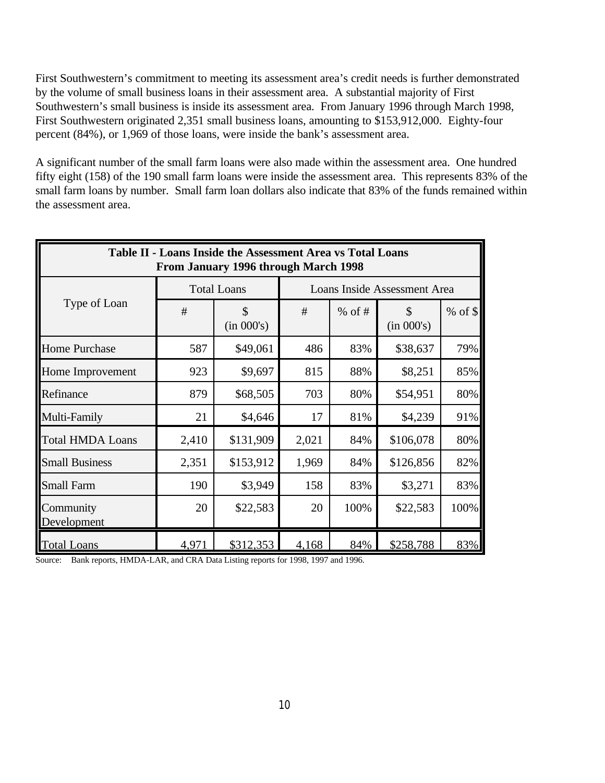First Southwestern's commitment to meeting its assessment area's credit needs is further demonstrated by the volume of small business loans in their assessment area. A substantial majority of First Southwestern's small business is inside its assessment area. From January 1996 through March 1998, First Southwestern originated 2,351 small business loans, amounting to \$153,912,000. Eighty-four percent (84%), or 1,969 of those loans, were inside the bank's assessment area.

A significant number of the small farm loans were also made within the assessment area. One hundred fifty eight (158) of the 190 small farm loans were inside the assessment area. This represents 83% of the small farm loans by number. Small farm loan dollars also indicate that 83% of the funds remained within the assessment area.

| Table II - Loans Inside the Assessment Area vs Total Loans<br>From January 1996 through March 1998 |       |                    |       |          |                                                                                                                                                 |         |  |  |  |  |  |
|----------------------------------------------------------------------------------------------------|-------|--------------------|-------|----------|-------------------------------------------------------------------------------------------------------------------------------------------------|---------|--|--|--|--|--|
|                                                                                                    |       | <b>Total Loans</b> |       |          | Loans Inside Assessment Area<br>\$<br>(in 000's)<br>\$38,637<br>\$8,251<br>\$54,951<br>\$4,239<br>\$106,078<br>\$126,856<br>\$3,271<br>\$22,583 |         |  |  |  |  |  |
| Type of Loan                                                                                       | #     | \$<br>(in 000's)   | #     | $%$ of # |                                                                                                                                                 | % of \$ |  |  |  |  |  |
| <b>Home Purchase</b>                                                                               | 587   | \$49,061           | 486   | 83%      |                                                                                                                                                 | 79%     |  |  |  |  |  |
| Home Improvement                                                                                   | 923   | \$9,697            | 815   | 88%      |                                                                                                                                                 | 85%     |  |  |  |  |  |
| Refinance                                                                                          | 879   | \$68,505           | 703   | 80%      |                                                                                                                                                 | 80%     |  |  |  |  |  |
| Multi-Family                                                                                       | 21    | \$4,646            | 17    | 81%      |                                                                                                                                                 | 91%     |  |  |  |  |  |
| <b>Total HMDA Loans</b>                                                                            | 2,410 | \$131,909          | 2,021 | 84%      |                                                                                                                                                 | 80%     |  |  |  |  |  |
| <b>Small Business</b>                                                                              | 2,351 | \$153,912          | 1,969 | 84%      |                                                                                                                                                 | 82%     |  |  |  |  |  |
| <b>Small Farm</b>                                                                                  | 190   | \$3,949            | 158   | 83%      |                                                                                                                                                 | 83%     |  |  |  |  |  |
| Community<br>Development                                                                           | 20    | \$22,583           | 20    | 100%     |                                                                                                                                                 | 100%    |  |  |  |  |  |
| <b>Total Loans</b>                                                                                 | 4,971 | \$312,353          | 4,168 | 84%      | \$258,788                                                                                                                                       | 83%     |  |  |  |  |  |

Source: Bank reports, HMDA-LAR, and CRA Data Listing reports for 1998, 1997 and 1996.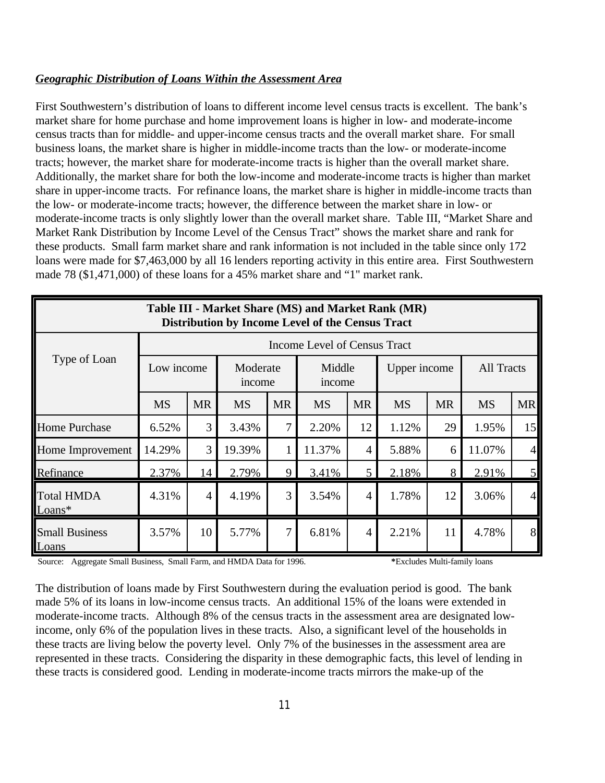### *Geographic Distribution of Loans Within the Assessment Area*

First Southwestern's distribution of loans to different income level census tracts is excellent. The bank's market share for home purchase and home improvement loans is higher in low- and moderate-income census tracts than for middle- and upper-income census tracts and the overall market share. For small business loans, the market share is higher in middle-income tracts than the low- or moderate-income tracts; however, the market share for moderate-income tracts is higher than the overall market share. Additionally, the market share for both the low-income and moderate-income tracts is higher than market share in upper-income tracts. For refinance loans, the market share is higher in middle-income tracts than the low- or moderate-income tracts; however, the difference between the market share in low- or moderate-income tracts is only slightly lower than the overall market share. Table III, "Market Share and Market Rank Distribution by Income Level of the Census Tract" shows the market share and rank for these products. Small farm market share and rank information is not included in the table since only 172 loans were made for \$7,463,000 by all 16 lenders reporting activity in this entire area. First Southwestern made 78 (\$1,471,000) of these loans for a 45% market share and "1" market rank.

| Table III - Market Share (MS) and Market Rank (MR)<br>Distribution by Income Level of the Census Tract |                                                                      |                                                                                                                   |        |   |        |                |       |    |                   |                  |  |  |
|--------------------------------------------------------------------------------------------------------|----------------------------------------------------------------------|-------------------------------------------------------------------------------------------------------------------|--------|---|--------|----------------|-------|----|-------------------|------------------|--|--|
|                                                                                                        |                                                                      | Income Level of Census Tract                                                                                      |        |   |        |                |       |    |                   |                  |  |  |
| Type of Loan                                                                                           | Middle<br>Moderate<br>Low income<br>Upper income<br>income<br>income |                                                                                                                   |        |   |        |                |       |    | <b>All Tracts</b> |                  |  |  |
|                                                                                                        | <b>MS</b>                                                            | <b>MR</b><br><b>MR</b><br><b>MR</b><br><b>MR</b><br><b>MR</b><br><b>MS</b><br><b>MS</b><br><b>MS</b><br><b>MS</b> |        |   |        |                |       |    |                   |                  |  |  |
| <b>Home Purchase</b>                                                                                   | 6.52%                                                                | 3                                                                                                                 | 3.43%  | 7 | 2.20%  | 12             | 1.12% | 29 | 1.95%             | 15               |  |  |
| Home Improvement                                                                                       | 14.29%                                                               | 3                                                                                                                 | 19.39% |   | 11.37% | 4              | 5.88% | 6  | 11.07%            | 4                |  |  |
| Refinance                                                                                              | 2.37%                                                                | 14                                                                                                                | 2.79%  | 9 | 3.41%  | 5              | 2.18% | 8  | 2.91%             | 5                |  |  |
| <b>Total HMDA</b><br>$Loans*$                                                                          | 4.31%                                                                | 4                                                                                                                 | 4.19%  | 3 | 3.54%  | $\overline{4}$ | 1.78% | 12 | 3.06%             | $\left 4\right $ |  |  |
| <b>Small Business</b><br>Loans                                                                         | 3.57%                                                                | 10                                                                                                                | 5.77%  | 7 | 6.81%  | $\overline{4}$ | 2.21% | 11 | 4.78%             | 8                |  |  |

Source: Aggregate Small Business, Small Farm, and HMDA Data for 1996. **\***Excludes Multi-family loans

The distribution of loans made by First Southwestern during the evaluation period is good. The bank made 5% of its loans in low-income census tracts. An additional 15% of the loans were extended in moderate-income tracts. Although 8% of the census tracts in the assessment area are designated lowincome, only 6% of the population lives in these tracts. Also, a significant level of the households in these tracts are living below the poverty level. Only 7% of the businesses in the assessment area are represented in these tracts. Considering the disparity in these demographic facts, this level of lending in these tracts is considered good. Lending in moderate-income tracts mirrors the make-up of the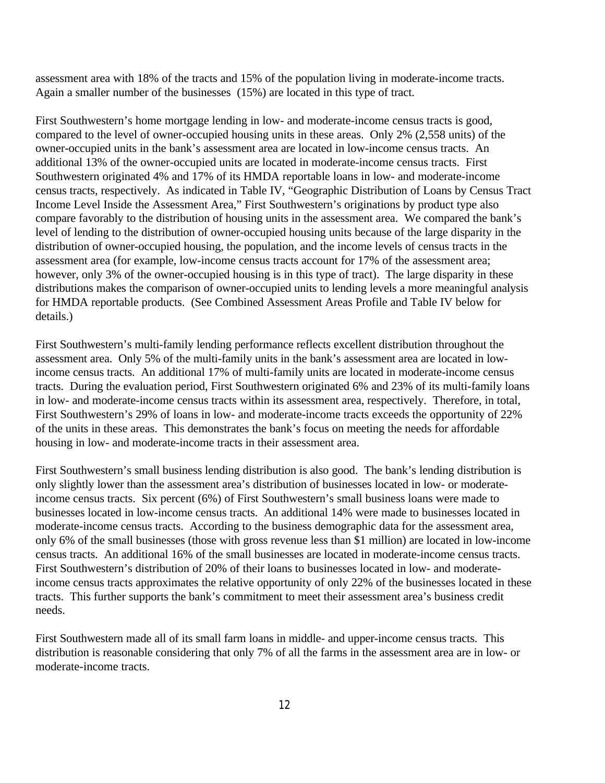assessment area with 18% of the tracts and 15% of the population living in moderate-income tracts. Again a smaller number of the businesses (15%) are located in this type of tract.

First Southwestern's home mortgage lending in low- and moderate-income census tracts is good, compared to the level of owner-occupied housing units in these areas. Only 2% (2,558 units) of the owner-occupied units in the bank's assessment area are located in low-income census tracts. An additional 13% of the owner-occupied units are located in moderate-income census tracts. First Southwestern originated 4% and 17% of its HMDA reportable loans in low- and moderate-income census tracts, respectively. As indicated in Table IV, "Geographic Distribution of Loans by Census Tract Income Level Inside the Assessment Area," First Southwestern's originations by product type also compare favorably to the distribution of housing units in the assessment area. We compared the bank's level of lending to the distribution of owner-occupied housing units because of the large disparity in the distribution of owner-occupied housing, the population, and the income levels of census tracts in the assessment area (for example, low-income census tracts account for 17% of the assessment area; however, only 3% of the owner-occupied housing is in this type of tract). The large disparity in these distributions makes the comparison of owner-occupied units to lending levels a more meaningful analysis for HMDA reportable products. (See Combined Assessment Areas Profile and Table IV below for details.)

First Southwestern's multi-family lending performance reflects excellent distribution throughout the assessment area. Only 5% of the multi-family units in the bank's assessment area are located in lowincome census tracts. An additional 17% of multi-family units are located in moderate-income census tracts. During the evaluation period, First Southwestern originated 6% and 23% of its multi-family loans in low- and moderate-income census tracts within its assessment area, respectively. Therefore, in total, First Southwestern's 29% of loans in low- and moderate-income tracts exceeds the opportunity of 22% of the units in these areas. This demonstrates the bank's focus on meeting the needs for affordable housing in low- and moderate-income tracts in their assessment area.

First Southwestern's small business lending distribution is also good. The bank's lending distribution is only slightly lower than the assessment area's distribution of businesses located in low- or moderateincome census tracts. Six percent (6%) of First Southwestern's small business loans were made to businesses located in low-income census tracts. An additional 14% were made to businesses located in moderate-income census tracts. According to the business demographic data for the assessment area, only 6% of the small businesses (those with gross revenue less than \$1 million) are located in low-income census tracts. An additional 16% of the small businesses are located in moderate-income census tracts. First Southwestern's distribution of 20% of their loans to businesses located in low- and moderateincome census tracts approximates the relative opportunity of only 22% of the businesses located in these tracts. This further supports the bank's commitment to meet their assessment area's business credit needs.

First Southwestern made all of its small farm loans in middle- and upper-income census tracts. This distribution is reasonable considering that only 7% of all the farms in the assessment area are in low- or moderate-income tracts.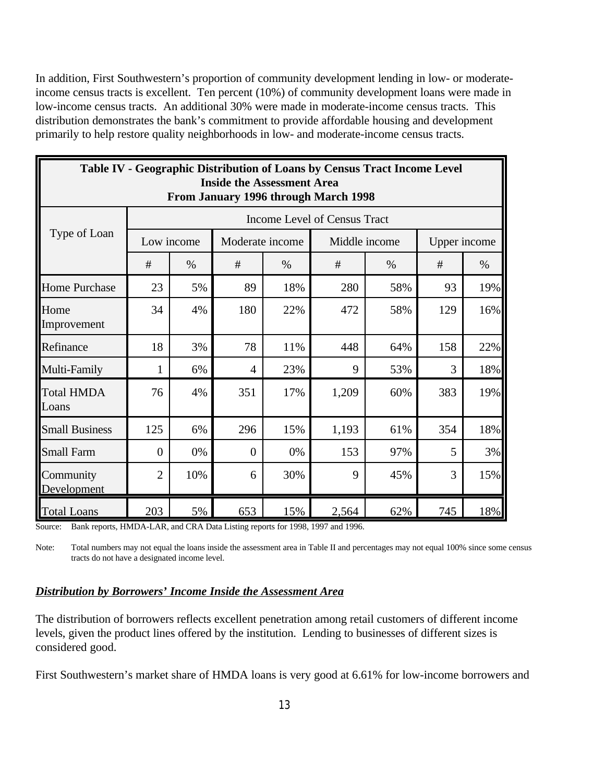In addition, First Southwestern's proportion of community development lending in low- or moderateincome census tracts is excellent. Ten percent (10%) of community development loans were made in low-income census tracts. An additional 30% were made in moderate-income census tracts. This distribution demonstrates the bank's commitment to provide affordable housing and development primarily to help restore quality neighborhoods in low- and moderate-income census tracts.

|                            |                                                     |            |                                   |                      | Table IV - Geographic Distribution of Loans by Census Tract Income Level |      |              |      |  |  |
|----------------------------|-----------------------------------------------------|------------|-----------------------------------|----------------------|--------------------------------------------------------------------------|------|--------------|------|--|--|
|                            |                                                     |            | <b>Inside the Assessment Area</b> |                      | From January 1996 through March 1998                                     |      |              |      |  |  |
|                            |                                                     |            |                                   |                      | Income Level of Census Tract                                             |      |              |      |  |  |
| Type of Loan               |                                                     | Low income | Moderate income                   |                      | Middle income                                                            |      | Upper income |      |  |  |
|                            | #                                                   | $\%$       | #                                 | $\%$                 | #                                                                        | $\%$ | #            | $\%$ |  |  |
| <b>Home Purchase</b>       | 23                                                  | 5%         | 89                                | 18%                  | 280                                                                      | 58%  | 93           | 19%  |  |  |
| Home<br>Improvement        | 34                                                  | 4%         | 180                               | 22%                  | 472                                                                      | 58%  | 129          | 16%  |  |  |
| Refinance                  | 18                                                  | 3%         | 78                                | 11%                  | 448                                                                      | 64%  | 158          | 22%  |  |  |
| Multi-Family               | 1                                                   | 6%         | $\overline{4}$                    | 23%                  | 9                                                                        | 53%  | 3            | 18%  |  |  |
| <b>Total HMDA</b><br>Loans | 76                                                  | 4%         | 351                               | 17%                  | 1,209                                                                    | 60%  | 383          | 19%  |  |  |
| <b>Small Business</b>      | 125                                                 | 6%         | 296                               | 15%                  | 1,193                                                                    | 61%  | 354          | 18%  |  |  |
| <b>Small Farm</b>          | 0%<br>153<br>5<br>$\theta$<br>0%<br>97%<br>$\Omega$ |            |                                   |                      |                                                                          |      |              |      |  |  |
| Community<br>Development   | $\overline{2}$                                      | 10%        | 6                                 | 30%<br>9<br>3<br>45% |                                                                          |      |              |      |  |  |
| <b>Total Loans</b>         | 203                                                 | 5%         | 653                               | 15%                  | 2,564                                                                    | 62%  | 745          | 18%  |  |  |

Source: Bank reports, HMDA-LAR, and CRA Data Listing reports for 1998, 1997 and 1996.

Note: Total numbers may not equal the loans inside the assessment area in Table II and percentages may not equal 100% since some census tracts do not have a designated income level.

#### *Distribution by Borrowers' Income Inside the Assessment Area*

The distribution of borrowers reflects excellent penetration among retail customers of different income levels, given the product lines offered by the institution. Lending to businesses of different sizes is considered good.

First Southwestern's market share of HMDA loans is very good at 6.61% for low-income borrowers and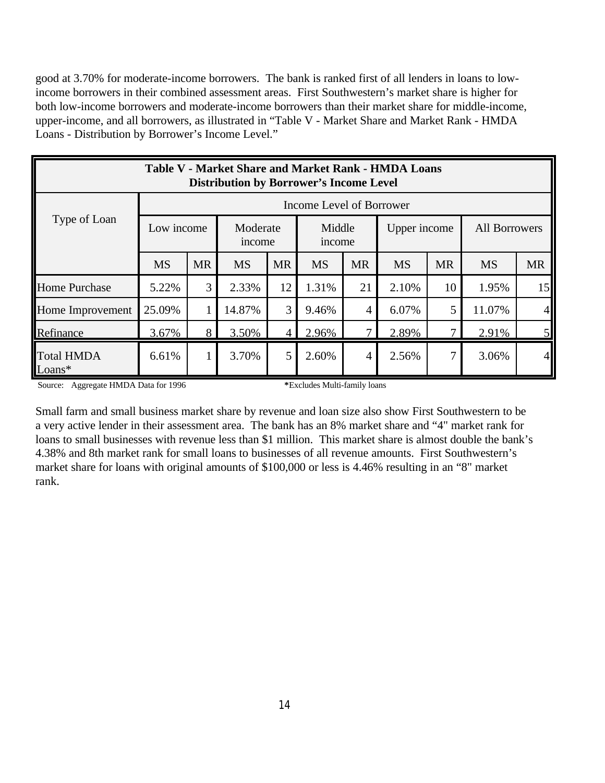good at 3.70% for moderate-income borrowers. The bank is ranked first of all lenders in loans to lowincome borrowers in their combined assessment areas. First Southwestern's market share is higher for both low-income borrowers and moderate-income borrowers than their market share for middle-income, upper-income, and all borrowers, as illustrated in "Table V - Market Share and Market Rank - HMDA Loans - Distribution by Borrower's Income Level."

| <b>Table V - Market Share and Market Rank - HMDA Loans</b><br><b>Distribution by Borrower's Income Level</b> |                                                                                                                   |   |        |                |       |                |       |    |                      |           |  |
|--------------------------------------------------------------------------------------------------------------|-------------------------------------------------------------------------------------------------------------------|---|--------|----------------|-------|----------------|-------|----|----------------------|-----------|--|
|                                                                                                              | Income Level of Borrower                                                                                          |   |        |                |       |                |       |    |                      |           |  |
| Type of Loan                                                                                                 | Low income<br>Middle<br>Moderate<br>Upper income<br>income<br>income                                              |   |        |                |       |                |       |    | <b>All Borrowers</b> |           |  |
|                                                                                                              | <b>MR</b><br><b>MS</b><br><b>MS</b><br><b>MR</b><br><b>MS</b><br><b>MR</b><br><b>MS</b><br><b>MS</b><br><b>MR</b> |   |        |                |       |                |       |    |                      | <b>MR</b> |  |
| <b>Home Purchase</b>                                                                                         | 5.22%                                                                                                             | 3 | 2.33%  | 12             | 1.31% | 21             | 2.10% | 10 | 1.95%                | 15        |  |
| Home Improvement                                                                                             | 25.09%                                                                                                            | 1 | 14.87% | 3              | 9.46% | $\overline{4}$ | 6.07% | 5  | 11.07%               | $\vert$   |  |
| Refinance                                                                                                    | 3.67%                                                                                                             | 8 | 3.50%  | $\overline{4}$ | 2.96% | 7              | 2.89% | 7  | 2.91%                | 5         |  |
| <b>Total HMDA</b><br>$Loans*$                                                                                | 6.61%                                                                                                             | 1 | 3.70%  | 5              | 2.60% | $\overline{4}$ | 2.56% | 7  | 3.06%                | 41        |  |

Source: Aggregate HMDA Data for 1996 **\***Excludes Multi-family loans

Small farm and small business market share by revenue and loan size also show First Southwestern to be a very active lender in their assessment area. The bank has an 8% market share and "4" market rank for loans to small businesses with revenue less than \$1 million. This market share is almost double the bank's 4.38% and 8th market rank for small loans to businesses of all revenue amounts. First Southwestern's market share for loans with original amounts of \$100,000 or less is 4.46% resulting in an "8" market rank.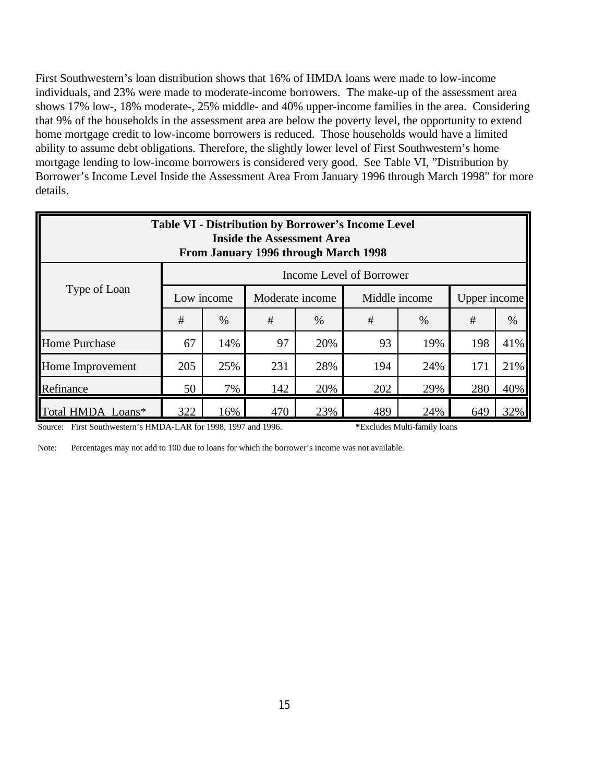First Southwestern's loan distribution shows that 16% of HMDA loans were made to low-income individuals, and 23% were made to moderate-income borrowers. The make-up of the assessment area shows 17% low-, 18% moderate-, 25% middle- and 40% upper-income families in the area. Considering that 9% of the households in the assessment area are below the poverty level, the opportunity to extend home mortgage credit to low-income borrowers is reduced. Those households would have a limited ability to assume debt obligations. Therefore, the slightly lower level of First Southwestern's home mortgage lending to low-income borrowers is considered very good. See Table VI, "Distribution by Borrower's Income Level Inside the Assessment Area From January 1996 through March 1998" for more details.

| <b>Table VI - Distribution by Borrower's Income Level</b><br><b>Inside the Assessment Area</b><br>From January 1996 through March 1998 |                          |                                                                |     |     |     |     |     |     |  |  |  |
|----------------------------------------------------------------------------------------------------------------------------------------|--------------------------|----------------------------------------------------------------|-----|-----|-----|-----|-----|-----|--|--|--|
|                                                                                                                                        | Income Level of Borrower |                                                                |     |     |     |     |     |     |  |  |  |
| Type of Loan                                                                                                                           |                          | Low income<br>Middle income<br>Moderate income<br>Upper income |     |     |     |     |     |     |  |  |  |
|                                                                                                                                        | #                        | #<br>#<br>$\%$<br>%<br>$\%$<br>#<br>$\%$                       |     |     |     |     |     |     |  |  |  |
| <b>Home Purchase</b>                                                                                                                   | 67                       | 14%                                                            | 97  | 20% | 93  | 19% | 198 | 41% |  |  |  |
| Home Improvement                                                                                                                       | 205                      | 25%                                                            | 231 | 28% | 194 | 24% | 171 | 21% |  |  |  |
| 40%<br>7%<br>142<br>202<br>Refinance<br>50<br>20%<br>29%<br>280                                                                        |                          |                                                                |     |     |     |     |     |     |  |  |  |
| Total HMDA Loans*                                                                                                                      | 322                      | 16%                                                            | 470 | 23% | 489 | 24% | 649 | 32% |  |  |  |

Source: First Southwestern's HMDA-LAR for 1998, 1997 and 1996. **\***Excludes Multi-family loans

Note: Percentages may not add to 100 due to loans for which the borrower's income was not available.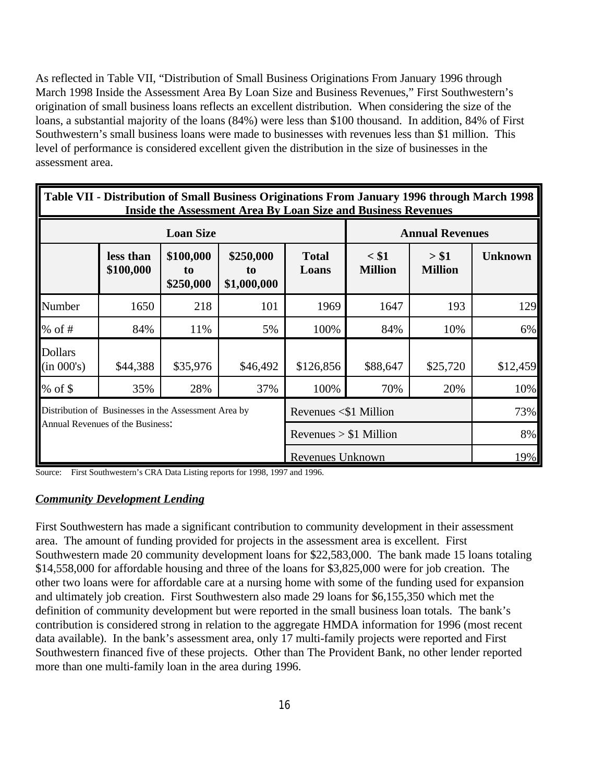As reflected in Table VII, "Distribution of Small Business Originations From January 1996 through March 1998 Inside the Assessment Area By Loan Size and Business Revenues," First Southwestern's origination of small business loans reflects an excellent distribution. When considering the size of the loans, a substantial majority of the loans (84%) were less than \$100 thousand. In addition, 84% of First Southwestern's small business loans were made to businesses with revenues less than \$1 million. This level of performance is considered excellent given the distribution in the size of businesses in the assessment area.

|                              | Table VII - Distribution of Small Business Originations From January 1996 through March 1998<br><b>Inside the Assessment Area By Loan Size and Business Revenues</b> |                                          |                                |                             |                           |                         |                |  |  |  |  |  |
|------------------------------|----------------------------------------------------------------------------------------------------------------------------------------------------------------------|------------------------------------------|--------------------------------|-----------------------------|---------------------------|-------------------------|----------------|--|--|--|--|--|
|                              |                                                                                                                                                                      | <b>Loan Size</b>                         |                                |                             |                           | <b>Annual Revenues</b>  |                |  |  |  |  |  |
|                              | less than<br>\$100,000                                                                                                                                               | \$100,000<br>t <sub>0</sub><br>\$250,000 | \$250,000<br>to<br>\$1,000,000 | <b>Total</b><br>Loans       | $<$ \$1<br><b>Million</b> | > \$1<br><b>Million</b> | <b>Unknown</b> |  |  |  |  |  |
| Number                       | 1650                                                                                                                                                                 | 218                                      | 101                            | 1969                        | 1647                      | 193                     | 129            |  |  |  |  |  |
| % of $#$                     | 84%                                                                                                                                                                  | 11%                                      | 5%                             | 100%                        | 84%                       | 10%                     | 6%             |  |  |  |  |  |
| <b>Dollars</b><br>(in 000's) | \$44,388                                                                                                                                                             | \$35,976                                 | \$46,492                       | \$126,856                   | \$88,647                  | \$25,720                | \$12,459       |  |  |  |  |  |
| $%$ of \$                    | 35%                                                                                                                                                                  | 28%                                      | 37%                            | 100%                        | 70%                       | 20%                     | 10%            |  |  |  |  |  |
|                              | Distribution of Businesses in the Assessment Area by                                                                                                                 |                                          |                                | Revenues $\leq$ \$1 Million |                           |                         | 73%            |  |  |  |  |  |
|                              | Annual Revenues of the Business:                                                                                                                                     |                                          |                                | Revenues $> $1$ Million     |                           |                         | 8%             |  |  |  |  |  |
|                              |                                                                                                                                                                      |                                          |                                | Revenues Unknown            |                           |                         | 19%            |  |  |  |  |  |

Source: First Southwestern's CRA Data Listing reports for 1998, 1997 and 1996.

#### *Community Development Lending*

First Southwestern has made a significant contribution to community development in their assessment area. The amount of funding provided for projects in the assessment area is excellent. First Southwestern made 20 community development loans for \$22,583,000. The bank made 15 loans totaling \$14,558,000 for affordable housing and three of the loans for \$3,825,000 were for job creation. The other two loans were for affordable care at a nursing home with some of the funding used for expansion and ultimately job creation. First Southwestern also made 29 loans for \$6,155,350 which met the definition of community development but were reported in the small business loan totals. The bank's contribution is considered strong in relation to the aggregate HMDA information for 1996 (most recent data available). In the bank's assessment area, only 17 multi-family projects were reported and First Southwestern financed five of these projects. Other than The Provident Bank, no other lender reported more than one multi-family loan in the area during 1996.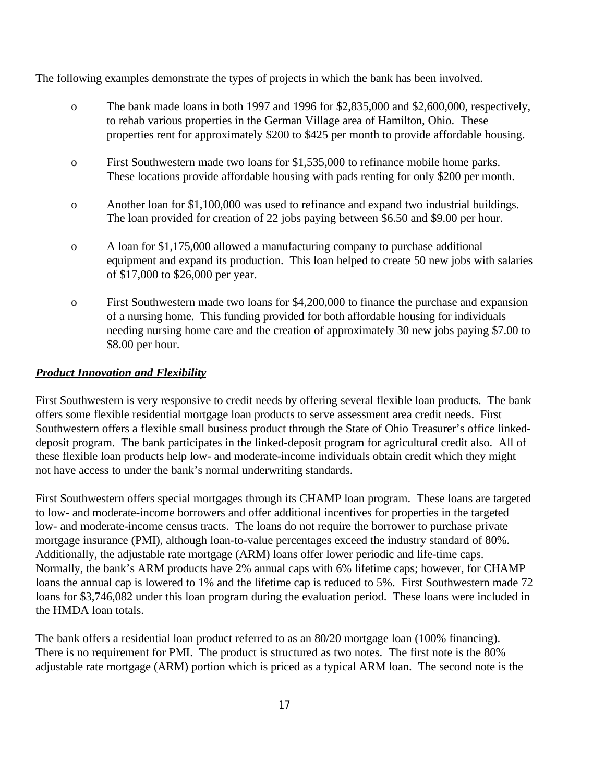The following examples demonstrate the types of projects in which the bank has been involved.

- o The bank made loans in both 1997 and 1996 for \$2,835,000 and \$2,600,000, respectively, to rehab various properties in the German Village area of Hamilton, Ohio. These properties rent for approximately \$200 to \$425 per month to provide affordable housing.
- o First Southwestern made two loans for \$1,535,000 to refinance mobile home parks. These locations provide affordable housing with pads renting for only \$200 per month.
- o Another loan for \$1,100,000 was used to refinance and expand two industrial buildings. The loan provided for creation of 22 jobs paying between \$6.50 and \$9.00 per hour.
- o A loan for \$1,175,000 allowed a manufacturing company to purchase additional equipment and expand its production. This loan helped to create 50 new jobs with salaries of \$17,000 to \$26,000 per year.
- o First Southwestern made two loans for \$4,200,000 to finance the purchase and expansion of a nursing home. This funding provided for both affordable housing for individuals needing nursing home care and the creation of approximately 30 new jobs paying \$7.00 to \$8.00 per hour.

### *Product Innovation and Flexibility*

First Southwestern is very responsive to credit needs by offering several flexible loan products. The bank offers some flexible residential mortgage loan products to serve assessment area credit needs. First Southwestern offers a flexible small business product through the State of Ohio Treasurer's office linkeddeposit program. The bank participates in the linked-deposit program for agricultural credit also. All of these flexible loan products help low- and moderate-income individuals obtain credit which they might not have access to under the bank's normal underwriting standards.

First Southwestern offers special mortgages through its CHAMP loan program. These loans are targeted to low- and moderate-income borrowers and offer additional incentives for properties in the targeted low- and moderate-income census tracts. The loans do not require the borrower to purchase private mortgage insurance (PMI), although loan-to-value percentages exceed the industry standard of 80%. Additionally, the adjustable rate mortgage (ARM) loans offer lower periodic and life-time caps. Normally, the bank's ARM products have 2% annual caps with 6% lifetime caps; however, for CHAMP loans the annual cap is lowered to 1% and the lifetime cap is reduced to 5%. First Southwestern made 72 loans for \$3,746,082 under this loan program during the evaluation period. These loans were included in the HMDA loan totals.

The bank offers a residential loan product referred to as an 80/20 mortgage loan (100% financing). There is no requirement for PMI. The product is structured as two notes. The first note is the 80% adjustable rate mortgage (ARM) portion which is priced as a typical ARM loan. The second note is the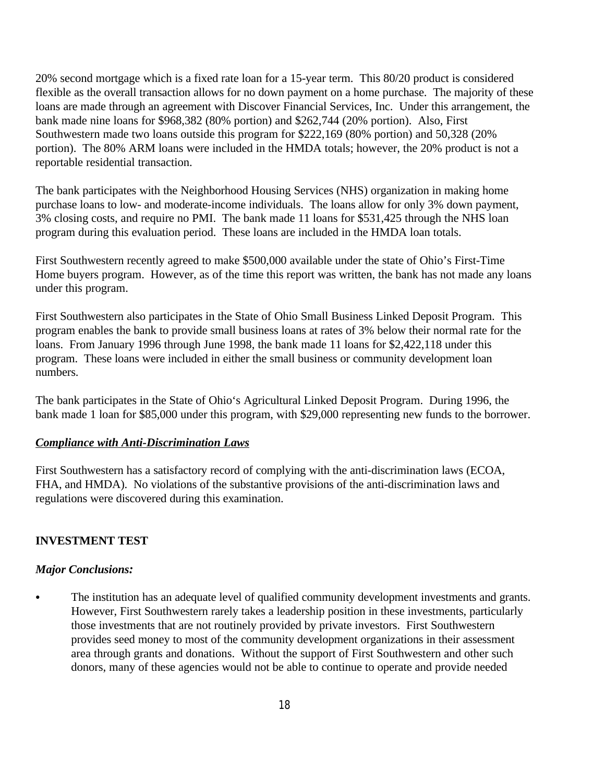20% second mortgage which is a fixed rate loan for a 15-year term. This 80/20 product is considered flexible as the overall transaction allows for no down payment on a home purchase. The majority of these loans are made through an agreement with Discover Financial Services, Inc. Under this arrangement, the bank made nine loans for \$968,382 (80% portion) and \$262,744 (20% portion). Also, First Southwestern made two loans outside this program for \$222,169 (80% portion) and 50,328 (20% portion). The 80% ARM loans were included in the HMDA totals; however, the 20% product is not a reportable residential transaction.

The bank participates with the Neighborhood Housing Services (NHS) organization in making home purchase loans to low- and moderate-income individuals. The loans allow for only 3% down payment, 3% closing costs, and require no PMI. The bank made 11 loans for \$531,425 through the NHS loan program during this evaluation period. These loans are included in the HMDA loan totals.

First Southwestern recently agreed to make \$500,000 available under the state of Ohio's First-Time Home buyers program. However, as of the time this report was written, the bank has not made any loans under this program.

First Southwestern also participates in the State of Ohio Small Business Linked Deposit Program. This program enables the bank to provide small business loans at rates of 3% below their normal rate for the loans. From January 1996 through June 1998, the bank made 11 loans for \$2,422,118 under this program. These loans were included in either the small business or community development loan numbers.

The bank participates in the State of Ohio's Agricultural Linked Deposit Program. During 1996, the bank made 1 loan for \$85,000 under this program, with \$29,000 representing new funds to the borrower.

# *Compliance with Anti-Discrimination Laws*

First Southwestern has a satisfactory record of complying with the anti-discrimination laws (ECOA, FHA, and HMDA). No violations of the substantive provisions of the anti-discrimination laws and regulations were discovered during this examination.

# **INVESTMENT TEST**

#### *Major Conclusions:*

• The institution has an adequate level of qualified community development investments and grants. However, First Southwestern rarely takes a leadership position in these investments, particularly those investments that are not routinely provided by private investors. First Southwestern provides seed money to most of the community development organizations in their assessment area through grants and donations. Without the support of First Southwestern and other such donors, many of these agencies would not be able to continue to operate and provide needed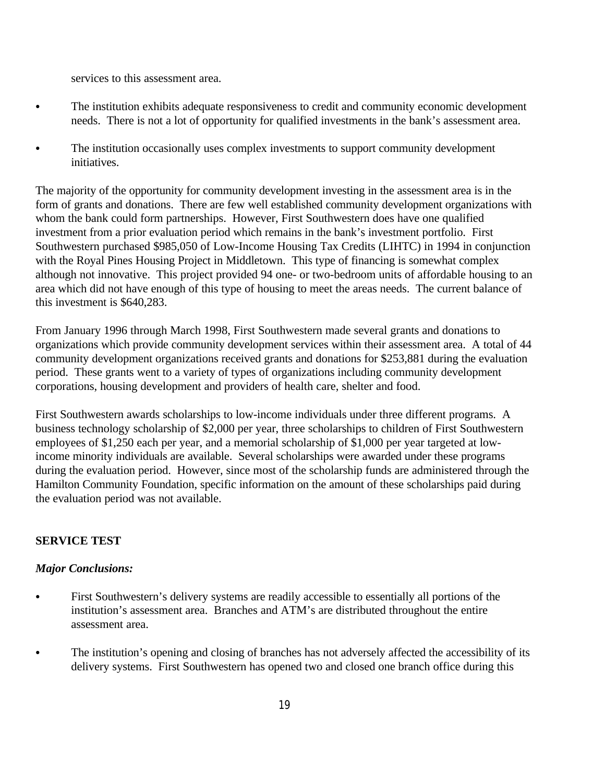services to this assessment area.

- The institution exhibits adequate responsiveness to credit and community economic development needs. There is not a lot of opportunity for qualified investments in the bank's assessment area.
- The institution occasionally uses complex investments to support community development initiatives.

The majority of the opportunity for community development investing in the assessment area is in the form of grants and donations. There are few well established community development organizations with whom the bank could form partnerships. However, First Southwestern does have one qualified investment from a prior evaluation period which remains in the bank's investment portfolio. First Southwestern purchased \$985,050 of Low-Income Housing Tax Credits (LIHTC) in 1994 in conjunction with the Royal Pines Housing Project in Middletown. This type of financing is somewhat complex although not innovative. This project provided 94 one- or two-bedroom units of affordable housing to an area which did not have enough of this type of housing to meet the areas needs. The current balance of this investment is \$640,283.

From January 1996 through March 1998, First Southwestern made several grants and donations to organizations which provide community development services within their assessment area. A total of 44 community development organizations received grants and donations for \$253,881 during the evaluation period. These grants went to a variety of types of organizations including community development corporations, housing development and providers of health care, shelter and food.

First Southwestern awards scholarships to low-income individuals under three different programs. A business technology scholarship of \$2,000 per year, three scholarships to children of First Southwestern employees of \$1,250 each per year, and a memorial scholarship of \$1,000 per year targeted at lowincome minority individuals are available. Several scholarships were awarded under these programs during the evaluation period. However, since most of the scholarship funds are administered through the Hamilton Community Foundation, specific information on the amount of these scholarships paid during the evaluation period was not available.

# **SERVICE TEST**

#### *Major Conclusions:*

- First Southwestern's delivery systems are readily accessible to essentially all portions of the institution's assessment area. Branches and ATM's are distributed throughout the entire assessment area.
- The institution's opening and closing of branches has not adversely affected the accessibility of its delivery systems. First Southwestern has opened two and closed one branch office during this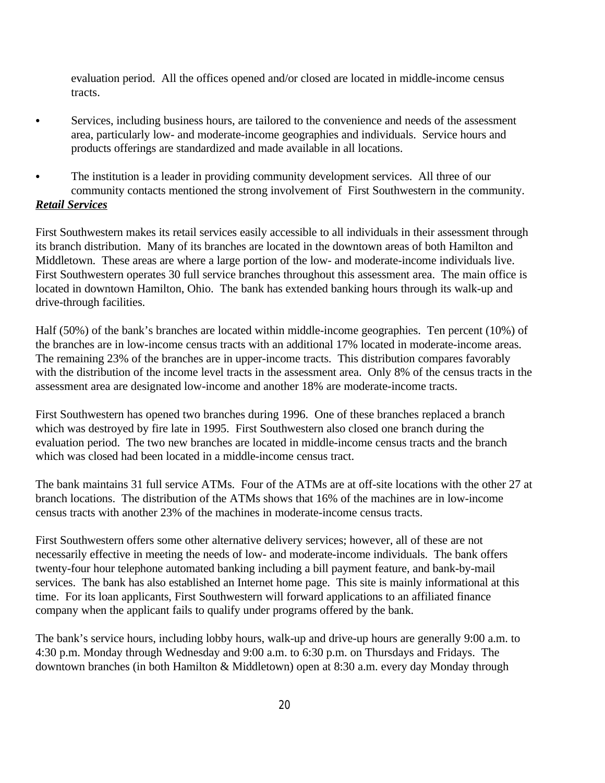evaluation period. All the offices opened and/or closed are located in middle-income census tracts.

- C Services, including business hours, are tailored to the convenience and needs of the assessment area, particularly low- and moderate-income geographies and individuals. Service hours and products offerings are standardized and made available in all locations.
- The institution is a leader in providing community development services. All three of our community contacts mentioned the strong involvement of First Southwestern in the community. *Retail Services*

First Southwestern makes its retail services easily accessible to all individuals in their assessment through its branch distribution. Many of its branches are located in the downtown areas of both Hamilton and Middletown. These areas are where a large portion of the low- and moderate-income individuals live. First Southwestern operates 30 full service branches throughout this assessment area. The main office is located in downtown Hamilton, Ohio. The bank has extended banking hours through its walk-up and drive-through facilities.

Half (50%) of the bank's branches are located within middle-income geographies. Ten percent (10%) of the branches are in low-income census tracts with an additional 17% located in moderate-income areas. The remaining 23% of the branches are in upper-income tracts. This distribution compares favorably with the distribution of the income level tracts in the assessment area. Only 8% of the census tracts in the assessment area are designated low-income and another 18% are moderate-income tracts.

First Southwestern has opened two branches during 1996. One of these branches replaced a branch which was destroyed by fire late in 1995. First Southwestern also closed one branch during the evaluation period. The two new branches are located in middle-income census tracts and the branch which was closed had been located in a middle-income census tract.

The bank maintains 31 full service ATMs. Four of the ATMs are at off-site locations with the other 27 at branch locations. The distribution of the ATMs shows that 16% of the machines are in low-income census tracts with another 23% of the machines in moderate-income census tracts.

First Southwestern offers some other alternative delivery services; however, all of these are not necessarily effective in meeting the needs of low- and moderate-income individuals. The bank offers twenty-four hour telephone automated banking including a bill payment feature, and bank-by-mail services. The bank has also established an Internet home page. This site is mainly informational at this time. For its loan applicants, First Southwestern will forward applications to an affiliated finance company when the applicant fails to qualify under programs offered by the bank.

The bank's service hours, including lobby hours, walk-up and drive-up hours are generally 9:00 a.m. to 4:30 p.m. Monday through Wednesday and 9:00 a.m. to 6:30 p.m. on Thursdays and Fridays. The downtown branches (in both Hamilton & Middletown) open at 8:30 a.m. every day Monday through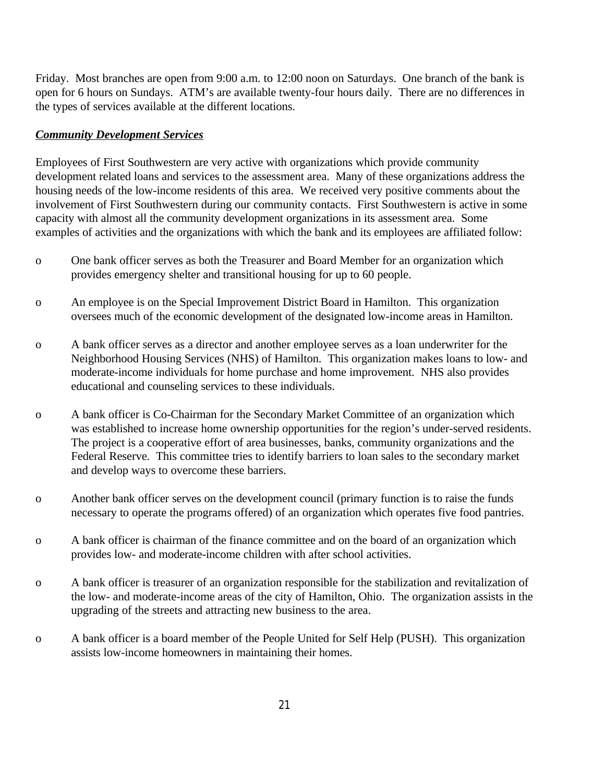Friday. Most branches are open from 9:00 a.m. to 12:00 noon on Saturdays. One branch of the bank is open for 6 hours on Sundays. ATM's are available twenty-four hours daily. There are no differences in the types of services available at the different locations.

### *Community Development Services*

Employees of First Southwestern are very active with organizations which provide community development related loans and services to the assessment area. Many of these organizations address the housing needs of the low-income residents of this area. We received very positive comments about the involvement of First Southwestern during our community contacts. First Southwestern is active in some capacity with almost all the community development organizations in its assessment area. Some examples of activities and the organizations with which the bank and its employees are affiliated follow:

- o One bank officer serves as both the Treasurer and Board Member for an organization which provides emergency shelter and transitional housing for up to 60 people.
- o An employee is on the Special Improvement District Board in Hamilton. This organization oversees much of the economic development of the designated low-income areas in Hamilton.
- o A bank officer serves as a director and another employee serves as a loan underwriter for the Neighborhood Housing Services (NHS) of Hamilton. This organization makes loans to low- and moderate-income individuals for home purchase and home improvement. NHS also provides educational and counseling services to these individuals.
- o A bank officer is Co-Chairman for the Secondary Market Committee of an organization which was established to increase home ownership opportunities for the region's under-served residents. The project is a cooperative effort of area businesses, banks, community organizations and the Federal Reserve. This committee tries to identify barriers to loan sales to the secondary market and develop ways to overcome these barriers.
- o Another bank officer serves on the development council (primary function is to raise the funds necessary to operate the programs offered) of an organization which operates five food pantries.
- o A bank officer is chairman of the finance committee and on the board of an organization which provides low- and moderate-income children with after school activities.
- o A bank officer is treasurer of an organization responsible for the stabilization and revitalization of the low- and moderate-income areas of the city of Hamilton, Ohio. The organization assists in the upgrading of the streets and attracting new business to the area.
- o A bank officer is a board member of the People United for Self Help (PUSH). This organization assists low-income homeowners in maintaining their homes.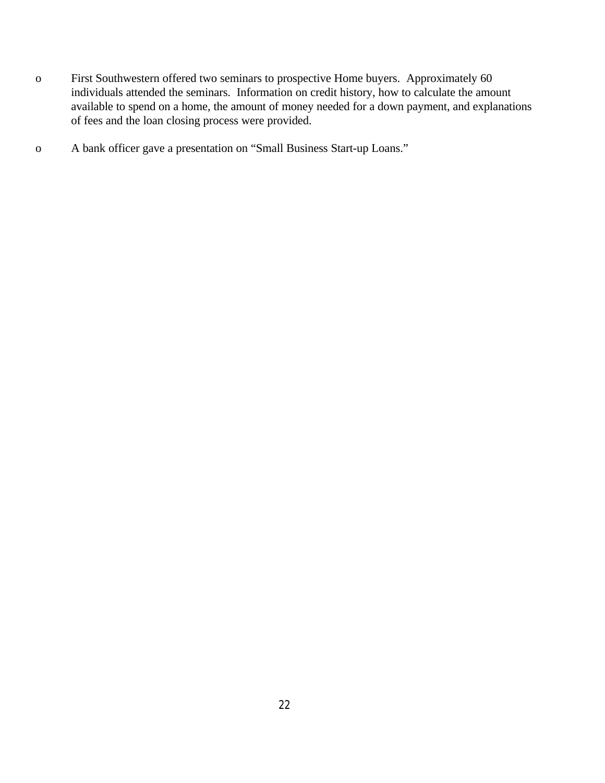- o First Southwestern offered two seminars to prospective Home buyers. Approximately 60 individuals attended the seminars. Information on credit history, how to calculate the amount available to spend on a home, the amount of money needed for a down payment, and explanations of fees and the loan closing process were provided.
- o A bank officer gave a presentation on "Small Business Start-up Loans."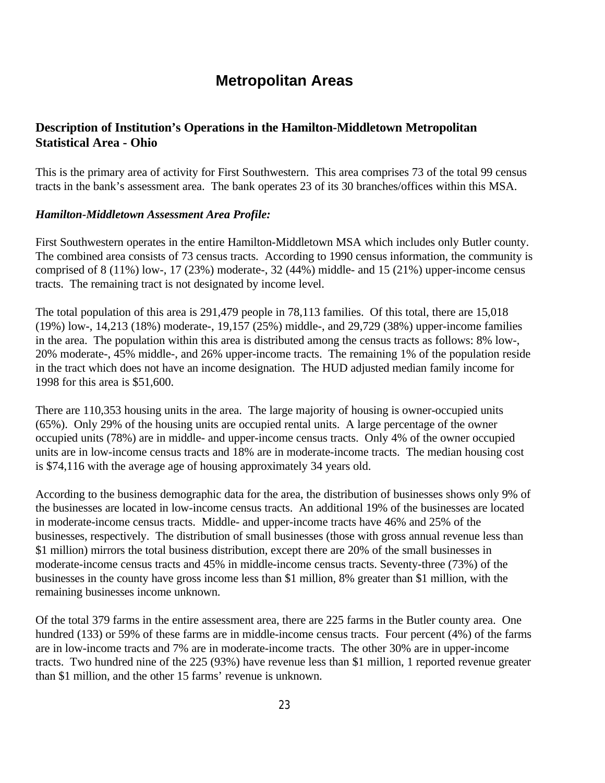# **Metropolitan Areas**

# **Description of Institution's Operations in the Hamilton-Middletown Metropolitan Statistical Area - Ohio**

This is the primary area of activity for First Southwestern. This area comprises 73 of the total 99 census tracts in the bank's assessment area. The bank operates 23 of its 30 branches/offices within this MSA.

#### *Hamilton-Middletown Assessment Area Profile:*

First Southwestern operates in the entire Hamilton-Middletown MSA which includes only Butler county. The combined area consists of 73 census tracts. According to 1990 census information, the community is comprised of 8 (11%) low-, 17 (23%) moderate-, 32 (44%) middle- and 15 (21%) upper-income census tracts. The remaining tract is not designated by income level.

The total population of this area is 291,479 people in 78,113 families. Of this total, there are 15,018 (19%) low-, 14,213 (18%) moderate-, 19,157 (25%) middle-, and 29,729 (38%) upper-income families in the area. The population within this area is distributed among the census tracts as follows: 8% low-, 20% moderate-, 45% middle-, and 26% upper-income tracts. The remaining 1% of the population reside in the tract which does not have an income designation. The HUD adjusted median family income for 1998 for this area is \$51,600.

There are 110,353 housing units in the area. The large majority of housing is owner-occupied units (65%). Only 29% of the housing units are occupied rental units. A large percentage of the owner occupied units (78%) are in middle- and upper-income census tracts. Only 4% of the owner occupied units are in low-income census tracts and 18% are in moderate-income tracts. The median housing cost is \$74,116 with the average age of housing approximately 34 years old.

According to the business demographic data for the area, the distribution of businesses shows only 9% of the businesses are located in low-income census tracts. An additional 19% of the businesses are located in moderate-income census tracts. Middle- and upper-income tracts have 46% and 25% of the businesses, respectively. The distribution of small businesses (those with gross annual revenue less than \$1 million) mirrors the total business distribution, except there are 20% of the small businesses in moderate-income census tracts and 45% in middle-income census tracts. Seventy-three (73%) of the businesses in the county have gross income less than \$1 million, 8% greater than \$1 million, with the remaining businesses income unknown.

Of the total 379 farms in the entire assessment area, there are 225 farms in the Butler county area. One hundred (133) or 59% of these farms are in middle-income census tracts. Four percent (4%) of the farms are in low-income tracts and 7% are in moderate-income tracts. The other 30% are in upper-income tracts. Two hundred nine of the 225 (93%) have revenue less than \$1 million, 1 reported revenue greater than \$1 million, and the other 15 farms' revenue is unknown.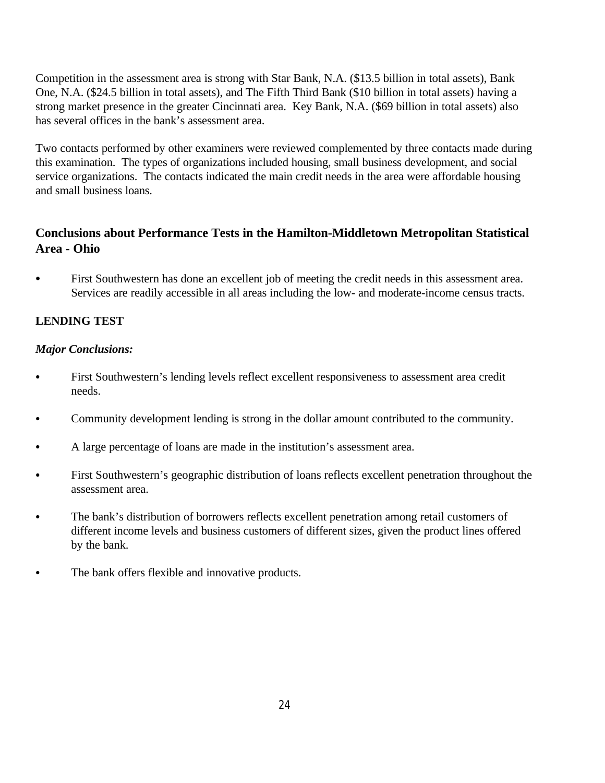Competition in the assessment area is strong with Star Bank, N.A. (\$13.5 billion in total assets), Bank One, N.A. (\$24.5 billion in total assets), and The Fifth Third Bank (\$10 billion in total assets) having a strong market presence in the greater Cincinnati area. Key Bank, N.A. (\$69 billion in total assets) also has several offices in the bank's assessment area.

Two contacts performed by other examiners were reviewed complemented by three contacts made during this examination. The types of organizations included housing, small business development, and social service organizations. The contacts indicated the main credit needs in the area were affordable housing and small business loans.

# **Conclusions about Performance Tests in the Hamilton-Middletown Metropolitan Statistical Area - Ohio**

• First Southwestern has done an excellent job of meeting the credit needs in this assessment area. Services are readily accessible in all areas including the low- and moderate-income census tracts.

# **LENDING TEST**

# *Major Conclusions:*

- First Southwestern's lending levels reflect excellent responsiveness to assessment area credit needs.
- Community development lending is strong in the dollar amount contributed to the community.
- A large percentage of loans are made in the institution's assessment area.
- First Southwestern's geographic distribution of loans reflects excellent penetration throughout the assessment area.
- The bank's distribution of borrowers reflects excellent penetration among retail customers of different income levels and business customers of different sizes, given the product lines offered by the bank.
- The bank offers flexible and innovative products.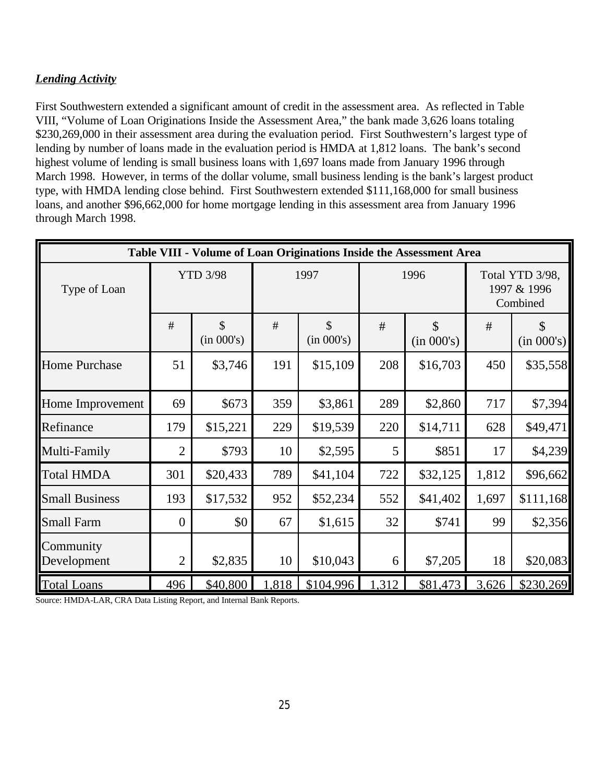# *Lending Activity*

First Southwestern extended a significant amount of credit in the assessment area. As reflected in Table VIII, "Volume of Loan Originations Inside the Assessment Area," the bank made 3,626 loans totaling \$230,269,000 in their assessment area during the evaluation period. First Southwestern's largest type of lending by number of loans made in the evaluation period is HMDA at 1,812 loans. The bank's second highest volume of lending is small business loans with 1,697 loans made from January 1996 through March 1998. However, in terms of the dollar volume, small business lending is the bank's largest product type, with HMDA lending close behind. First Southwestern extended \$111,168,000 for small business loans, and another \$96,662,000 for home mortgage lending in this assessment area from January 1996 through March 1998.

|                          |                 |                             |       |                             |                                  | Table VIII - Volume of Loan Originations Inside the Assessment Area |       |                                            |
|--------------------------|-----------------|-----------------------------|-------|-----------------------------|----------------------------------|---------------------------------------------------------------------|-------|--------------------------------------------|
| Type of Loan             | <b>YTD 3/98</b> |                             |       | 1997                        |                                  | 1996                                                                |       | Total YTD 3/98,<br>1997 & 1996<br>Combined |
|                          | #               | $\mathcal{S}$<br>(in 000's) | #     | $\mathcal{S}$<br>(in 000's) | $\mathcal{S}$<br>#<br>(in 000's) |                                                                     | #     | $\mathcal{S}$<br>(in 000's)                |
| <b>Home Purchase</b>     | 51              | \$3,746                     | 191   | \$15,109                    | 208                              | \$16,703                                                            | 450   | \$35,558                                   |
| Home Improvement         | 69              | \$673                       | 359   | \$3,861                     | 289                              | \$2,860                                                             | 717   | \$7,394                                    |
| Refinance                | 179             | \$15,221                    | 229   | \$19,539                    | 220                              | \$14,711                                                            | 628   | \$49,471                                   |
| Multi-Family             | $\overline{2}$  | \$793                       | 10    | \$2,595                     | 5                                | \$851                                                               | 17    | \$4,239                                    |
| <b>Total HMDA</b>        | 301             | \$20,433                    | 789   | \$41,104                    | 722                              | \$32,125                                                            | 1,812 | \$96,662                                   |
| <b>Small Business</b>    | 193             | \$17,532                    | 952   | \$52,234                    | 552                              | \$41,402                                                            | 1,697 | \$111,168                                  |
| <b>Small Farm</b>        | $\overline{0}$  | \$0                         | 67    | \$1,615                     | 32                               | \$741                                                               | 99    | \$2,356                                    |
| Community<br>Development | $\overline{2}$  | \$2,835                     | 10    | \$10,043                    | 6                                | \$7,205                                                             | 18    | \$20,083                                   |
| <b>Total Loans</b>       | 496             | \$40,800                    | 1,818 | \$104,996                   | 1,312                            | \$81,473                                                            | 3,626 | \$230,269                                  |

Source: HMDA-LAR, CRA Data Listing Report, and Internal Bank Reports.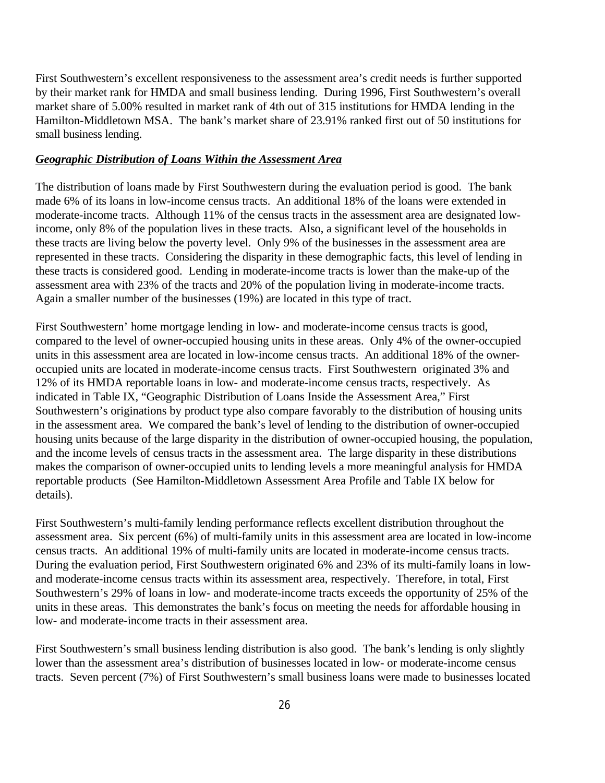First Southwestern's excellent responsiveness to the assessment area's credit needs is further supported by their market rank for HMDA and small business lending. During 1996, First Southwestern's overall market share of 5.00% resulted in market rank of 4th out of 315 institutions for HMDA lending in the Hamilton-Middletown MSA. The bank's market share of 23.91% ranked first out of 50 institutions for small business lending.

#### *Geographic Distribution of Loans Within the Assessment Area*

The distribution of loans made by First Southwestern during the evaluation period is good. The bank made 6% of its loans in low-income census tracts. An additional 18% of the loans were extended in moderate-income tracts. Although 11% of the census tracts in the assessment area are designated lowincome, only 8% of the population lives in these tracts. Also, a significant level of the households in these tracts are living below the poverty level. Only 9% of the businesses in the assessment area are represented in these tracts. Considering the disparity in these demographic facts, this level of lending in these tracts is considered good. Lending in moderate-income tracts is lower than the make-up of the assessment area with 23% of the tracts and 20% of the population living in moderate-income tracts. Again a smaller number of the businesses (19%) are located in this type of tract.

First Southwestern' home mortgage lending in low- and moderate-income census tracts is good, compared to the level of owner-occupied housing units in these areas. Only 4% of the owner-occupied units in this assessment area are located in low-income census tracts. An additional 18% of the owneroccupied units are located in moderate-income census tracts. First Southwestern originated 3% and 12% of its HMDA reportable loans in low- and moderate-income census tracts, respectively. As indicated in Table IX, "Geographic Distribution of Loans Inside the Assessment Area," First Southwestern's originations by product type also compare favorably to the distribution of housing units in the assessment area. We compared the bank's level of lending to the distribution of owner-occupied housing units because of the large disparity in the distribution of owner-occupied housing, the population, and the income levels of census tracts in the assessment area. The large disparity in these distributions makes the comparison of owner-occupied units to lending levels a more meaningful analysis for HMDA reportable products (See Hamilton-Middletown Assessment Area Profile and Table IX below for details).

First Southwestern's multi-family lending performance reflects excellent distribution throughout the assessment area. Six percent (6%) of multi-family units in this assessment area are located in low-income census tracts. An additional 19% of multi-family units are located in moderate-income census tracts. During the evaluation period, First Southwestern originated 6% and 23% of its multi-family loans in lowand moderate-income census tracts within its assessment area, respectively. Therefore, in total, First Southwestern's 29% of loans in low- and moderate-income tracts exceeds the opportunity of 25% of the units in these areas. This demonstrates the bank's focus on meeting the needs for affordable housing in low- and moderate-income tracts in their assessment area.

First Southwestern's small business lending distribution is also good. The bank's lending is only slightly lower than the assessment area's distribution of businesses located in low- or moderate-income census tracts. Seven percent (7%) of First Southwestern's small business loans were made to businesses located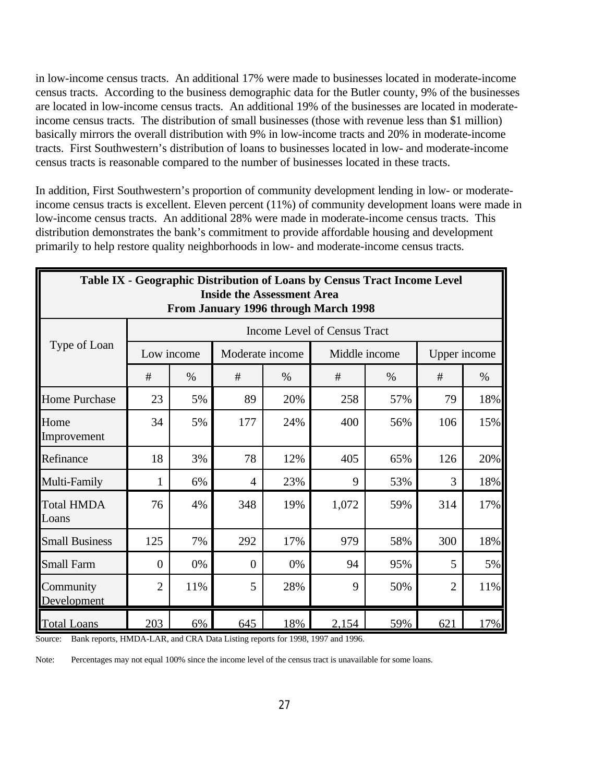in low-income census tracts. An additional 17% were made to businesses located in moderate-income census tracts. According to the business demographic data for the Butler county, 9% of the businesses are located in low-income census tracts. An additional 19% of the businesses are located in moderateincome census tracts. The distribution of small businesses (those with revenue less than \$1 million) basically mirrors the overall distribution with 9% in low-income tracts and 20% in moderate-income tracts. First Southwestern's distribution of loans to businesses located in low- and moderate-income census tracts is reasonable compared to the number of businesses located in these tracts.

In addition, First Southwestern's proportion of community development lending in low- or moderateincome census tracts is excellent. Eleven percent (11%) of community development loans were made in low-income census tracts. An additional 28% were made in moderate-income census tracts. This distribution demonstrates the bank's commitment to provide affordable housing and development primarily to help restore quality neighborhoods in low- and moderate-income census tracts.

|                            |                |      | <b>Inside the Assessment Area</b> |      | Table IX - Geographic Distribution of Loans by Census Tract Income Level<br>From January 1996 through March 1998 |      |                |      |
|----------------------------|----------------|------|-----------------------------------|------|------------------------------------------------------------------------------------------------------------------|------|----------------|------|
|                            |                |      |                                   |      | Income Level of Census Tract                                                                                     |      |                |      |
| Type of Loan               | Low income     |      | Moderate income                   |      | Middle income                                                                                                    |      | Upper income   |      |
|                            | #              | $\%$ | #                                 | $\%$ | #                                                                                                                | $\%$ | #              | $\%$ |
| <b>Home Purchase</b>       | 23             | 5%   | 89                                | 20%  | 258                                                                                                              | 57%  | 79             | 18%  |
| Home<br>Improvement        | 34             | 5%   | 177                               | 24%  | 400                                                                                                              | 56%  | 106            | 15%  |
| Refinance                  | 18             | 3%   | 78                                | 12%  | 405                                                                                                              | 65%  | 126            | 20%  |
| Multi-Family               | $\mathbf{1}$   | 6%   | $\overline{4}$                    | 23%  | 9                                                                                                                | 53%  | 3              | 18%  |
| <b>Total HMDA</b><br>Loans | 76             | 4%   | 348                               | 19%  | 1,072                                                                                                            | 59%  | 314            | 17%  |
| <b>Small Business</b>      | 125            | 7%   | 292                               | 17%  | 979                                                                                                              | 58%  | 300            | 18%  |
| <b>Small Farm</b>          | $\theta$       | 0%   | $\theta$                          | 0%   | 94                                                                                                               | 95%  | 5              | 5%   |
| Community<br>Development   | $\overline{2}$ | 11%  | 5                                 | 28%  | 9                                                                                                                | 50%  | $\overline{2}$ | 11%  |
| <b>Total Loans</b>         | 203            | 6%   | 645                               | 18%  | 2,154                                                                                                            | 59%  | 621            | 17%  |

Source: Bank reports, HMDA-LAR, and CRA Data Listing reports for 1998, 1997 and 1996.

Note: Percentages may not equal 100% since the income level of the census tract is unavailable for some loans.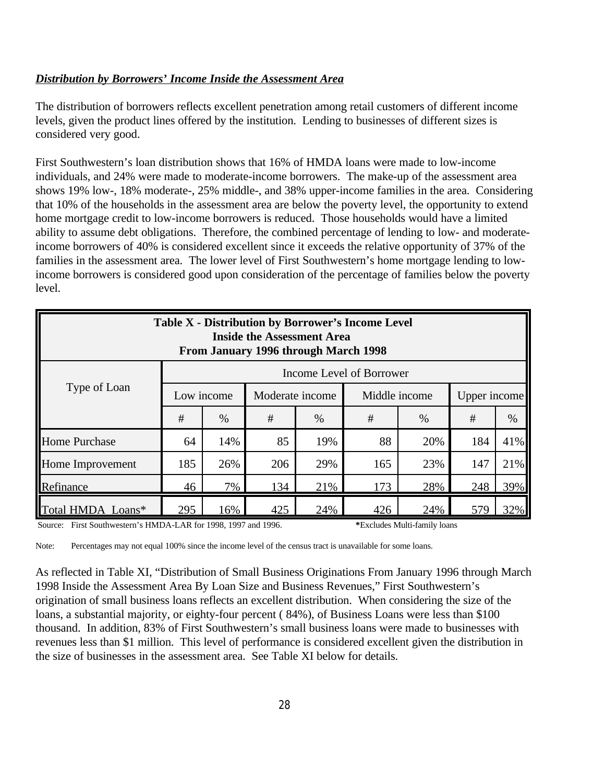### *Distribution by Borrowers' Income Inside the Assessment Area*

The distribution of borrowers reflects excellent penetration among retail customers of different income levels, given the product lines offered by the institution. Lending to businesses of different sizes is considered very good.

First Southwestern's loan distribution shows that 16% of HMDA loans were made to low-income individuals, and 24% were made to moderate-income borrowers. The make-up of the assessment area shows 19% low-, 18% moderate-, 25% middle-, and 38% upper-income families in the area. Considering that 10% of the households in the assessment area are below the poverty level, the opportunity to extend home mortgage credit to low-income borrowers is reduced. Those households would have a limited ability to assume debt obligations. Therefore, the combined percentage of lending to low- and moderateincome borrowers of 40% is considered excellent since it exceeds the relative opportunity of 37% of the families in the assessment area. The lower level of First Southwestern's home mortgage lending to lowincome borrowers is considered good upon consideration of the percentage of families below the poverty level.

| <b>Table X - Distribution by Borrower's Income Level</b><br><b>Inside the Assessment Area</b><br>From January 1996 through March 1998 |     |                                             |                 |     |               |     |              |     |  |  |  |
|---------------------------------------------------------------------------------------------------------------------------------------|-----|---------------------------------------------|-----------------|-----|---------------|-----|--------------|-----|--|--|--|
| Income Level of Borrower                                                                                                              |     |                                             |                 |     |               |     |              |     |  |  |  |
| Type of Loan                                                                                                                          |     | Low income                                  | Moderate income |     | Middle income |     | Upper income |     |  |  |  |
|                                                                                                                                       | #   | #<br>#<br>#<br>$\%$<br>$\%$<br>$\%$<br>$\%$ |                 |     |               |     |              |     |  |  |  |
| <b>Home Purchase</b>                                                                                                                  | 64  | 14%                                         | 85              | 19% | 88            | 20% | 184          | 41% |  |  |  |
| Home Improvement                                                                                                                      | 185 | 26%                                         | 206             | 29% | 165           | 23% | 147          | 21% |  |  |  |
| 39%<br>134<br>173<br>28%<br>Refinance<br>46<br>7%<br>21%<br>248                                                                       |     |                                             |                 |     |               |     |              |     |  |  |  |
| Total HMDA Loans*                                                                                                                     | 295 | 16%                                         | 425             | 24% | 426           | 24% | 579          | 32% |  |  |  |

Source: First Southwestern's HMDA-LAR for 1998, 1997 and 1996. **\***Excludes Multi-family loans

Note: Percentages may not equal 100% since the income level of the census tract is unavailable for some loans.

As reflected in Table XI, "Distribution of Small Business Originations From January 1996 through March 1998 Inside the Assessment Area By Loan Size and Business Revenues," First Southwestern's origination of small business loans reflects an excellent distribution. When considering the size of the loans, a substantial majority, or eighty-four percent ( 84%), of Business Loans were less than \$100 thousand. In addition, 83% of First Southwestern's small business loans were made to businesses with revenues less than \$1 million. This level of performance is considered excellent given the distribution in the size of businesses in the assessment area. See Table XI below for details.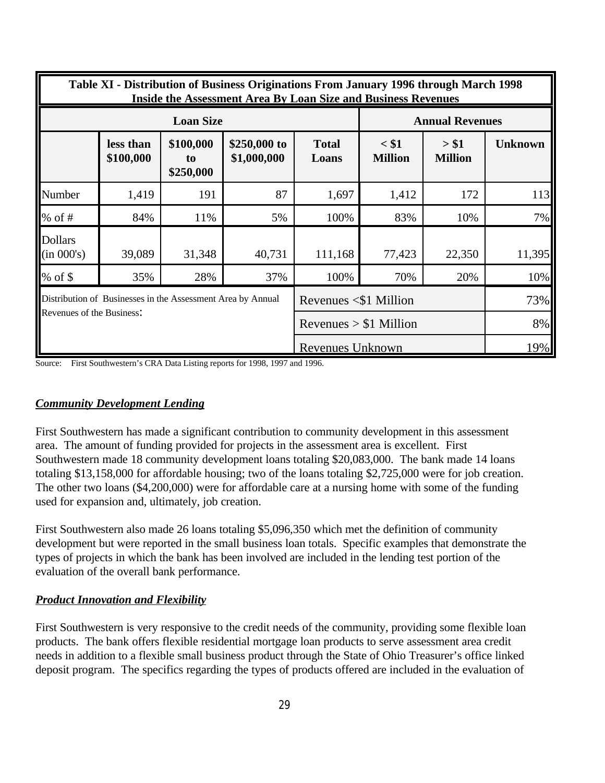|                              | Table XI - Distribution of Business Originations From January 1996 through March 1998<br><b>Inside the Assessment Area By Loan Size and Business Revenues</b> |                              |                             |                             |                           |                         |                |  |  |  |  |  |
|------------------------------|---------------------------------------------------------------------------------------------------------------------------------------------------------------|------------------------------|-----------------------------|-----------------------------|---------------------------|-------------------------|----------------|--|--|--|--|--|
|                              |                                                                                                                                                               | <b>Loan Size</b>             |                             |                             |                           | <b>Annual Revenues</b>  |                |  |  |  |  |  |
|                              | less than<br>\$100,000                                                                                                                                        | \$100,000<br>to<br>\$250,000 | \$250,000 to<br>\$1,000,000 | <b>Total</b><br>Loans       | $<$ \$1<br><b>Million</b> | > \$1<br><b>Million</b> | <b>Unknown</b> |  |  |  |  |  |
| Number                       | 1,419                                                                                                                                                         | 191                          | 87                          | 1,697                       | 1,412                     | 172                     | 113            |  |  |  |  |  |
| $%$ of #                     | 84%                                                                                                                                                           | 11%                          | 5%                          | 100%                        | 83%                       | 10%                     | 7%             |  |  |  |  |  |
| <b>Dollars</b><br>(in 000's) | 39,089                                                                                                                                                        | 31,348                       | 40,731                      | 111,168                     | 77,423                    | 22,350                  | 11,395         |  |  |  |  |  |
| % of $\$$                    | 35%                                                                                                                                                           | 28%                          | 37%                         | 100%                        | 70%                       | 20%                     | 10%            |  |  |  |  |  |
|                              | Distribution of Businesses in the Assessment Area by Annual                                                                                                   |                              |                             | Revenues $\leq$ \$1 Million |                           |                         | 73%            |  |  |  |  |  |
| Revenues of the Business:    |                                                                                                                                                               |                              |                             | Revenues $> $1$ Million     |                           |                         | 8%             |  |  |  |  |  |
|                              |                                                                                                                                                               |                              |                             | Revenues Unknown            |                           |                         | 19%            |  |  |  |  |  |

Source: First Southwestern's CRA Data Listing reports for 1998, 1997 and 1996.

#### *Community Development Lending*

First Southwestern has made a significant contribution to community development in this assessment area. The amount of funding provided for projects in the assessment area is excellent. First Southwestern made 18 community development loans totaling \$20,083,000. The bank made 14 loans totaling \$13,158,000 for affordable housing; two of the loans totaling \$2,725,000 were for job creation. The other two loans (\$4,200,000) were for affordable care at a nursing home with some of the funding used for expansion and, ultimately, job creation.

First Southwestern also made 26 loans totaling \$5,096,350 which met the definition of community development but were reported in the small business loan totals. Specific examples that demonstrate the types of projects in which the bank has been involved are included in the lending test portion of the evaluation of the overall bank performance.

#### *Product Innovation and Flexibility*

First Southwestern is very responsive to the credit needs of the community, providing some flexible loan products. The bank offers flexible residential mortgage loan products to serve assessment area credit needs in addition to a flexible small business product through the State of Ohio Treasurer's office linked deposit program. The specifics regarding the types of products offered are included in the evaluation of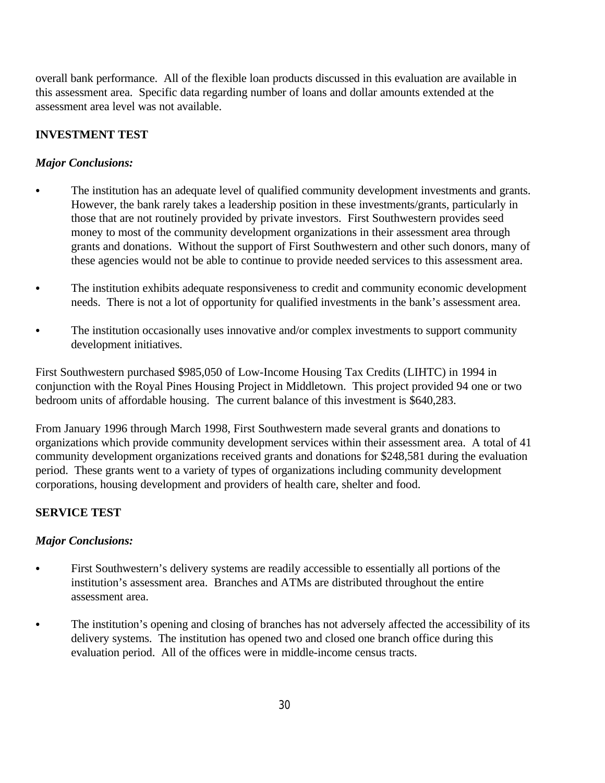overall bank performance. All of the flexible loan products discussed in this evaluation are available in this assessment area. Specific data regarding number of loans and dollar amounts extended at the assessment area level was not available.

# **INVESTMENT TEST**

# *Major Conclusions:*

- The institution has an adequate level of qualified community development investments and grants. However, the bank rarely takes a leadership position in these investments/grants, particularly in those that are not routinely provided by private investors. First Southwestern provides seed money to most of the community development organizations in their assessment area through grants and donations. Without the support of First Southwestern and other such donors, many of these agencies would not be able to continue to provide needed services to this assessment area.
- The institution exhibits adequate responsiveness to credit and community economic development needs. There is not a lot of opportunity for qualified investments in the bank's assessment area.
- The institution occasionally uses innovative and/or complex investments to support community development initiatives.

First Southwestern purchased \$985,050 of Low-Income Housing Tax Credits (LIHTC) in 1994 in conjunction with the Royal Pines Housing Project in Middletown. This project provided 94 one or two bedroom units of affordable housing. The current balance of this investment is \$640,283.

From January 1996 through March 1998, First Southwestern made several grants and donations to organizations which provide community development services within their assessment area. A total of 41 community development organizations received grants and donations for \$248,581 during the evaluation period. These grants went to a variety of types of organizations including community development corporations, housing development and providers of health care, shelter and food.

# **SERVICE TEST**

# *Major Conclusions:*

- First Southwestern's delivery systems are readily accessible to essentially all portions of the institution's assessment area. Branches and ATMs are distributed throughout the entire assessment area.
- The institution's opening and closing of branches has not adversely affected the accessibility of its delivery systems. The institution has opened two and closed one branch office during this evaluation period. All of the offices were in middle-income census tracts.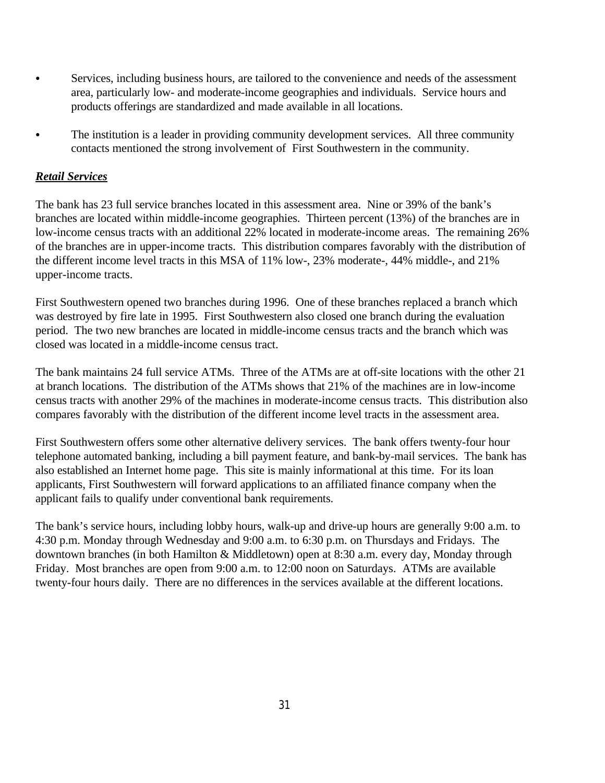- Services, including business hours, are tailored to the convenience and needs of the assessment area, particularly low- and moderate-income geographies and individuals. Service hours and products offerings are standardized and made available in all locations.
- The institution is a leader in providing community development services. All three community contacts mentioned the strong involvement of First Southwestern in the community.

# *Retail Services*

The bank has 23 full service branches located in this assessment area. Nine or 39% of the bank's branches are located within middle-income geographies. Thirteen percent (13%) of the branches are in low-income census tracts with an additional 22% located in moderate-income areas. The remaining 26% of the branches are in upper-income tracts. This distribution compares favorably with the distribution of the different income level tracts in this MSA of 11% low-, 23% moderate-, 44% middle-, and 21% upper-income tracts.

First Southwestern opened two branches during 1996. One of these branches replaced a branch which was destroyed by fire late in 1995. First Southwestern also closed one branch during the evaluation period. The two new branches are located in middle-income census tracts and the branch which was closed was located in a middle-income census tract.

The bank maintains 24 full service ATMs. Three of the ATMs are at off-site locations with the other 21 at branch locations. The distribution of the ATMs shows that 21% of the machines are in low-income census tracts with another 29% of the machines in moderate-income census tracts. This distribution also compares favorably with the distribution of the different income level tracts in the assessment area.

First Southwestern offers some other alternative delivery services. The bank offers twenty-four hour telephone automated banking, including a bill payment feature, and bank-by-mail services. The bank has also established an Internet home page. This site is mainly informational at this time. For its loan applicants, First Southwestern will forward applications to an affiliated finance company when the applicant fails to qualify under conventional bank requirements.

The bank's service hours, including lobby hours, walk-up and drive-up hours are generally 9:00 a.m. to 4:30 p.m. Monday through Wednesday and 9:00 a.m. to 6:30 p.m. on Thursdays and Fridays. The downtown branches (in both Hamilton & Middletown) open at 8:30 a.m. every day, Monday through Friday. Most branches are open from 9:00 a.m. to 12:00 noon on Saturdays. ATMs are available twenty-four hours daily. There are no differences in the services available at the different locations.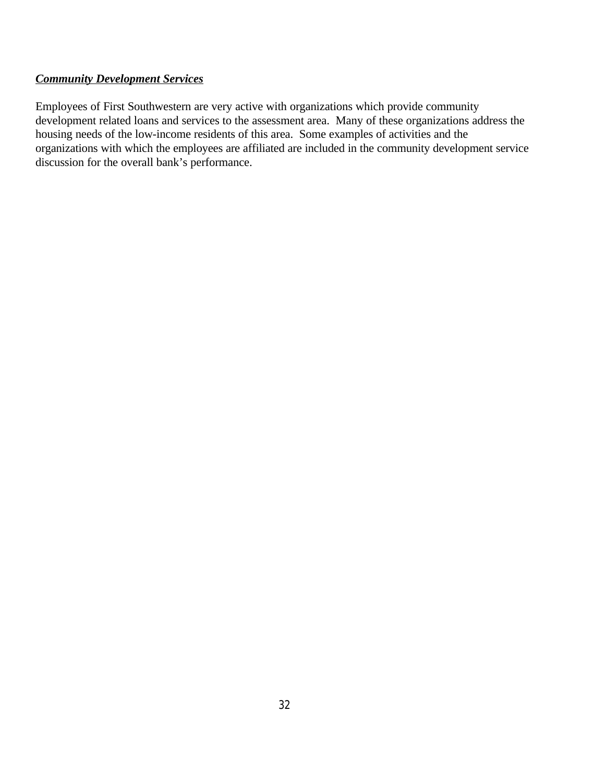# *Community Development Services*

Employees of First Southwestern are very active with organizations which provide community development related loans and services to the assessment area. Many of these organizations address the housing needs of the low-income residents of this area. Some examples of activities and the organizations with which the employees are affiliated are included in the community development service discussion for the overall bank's performance.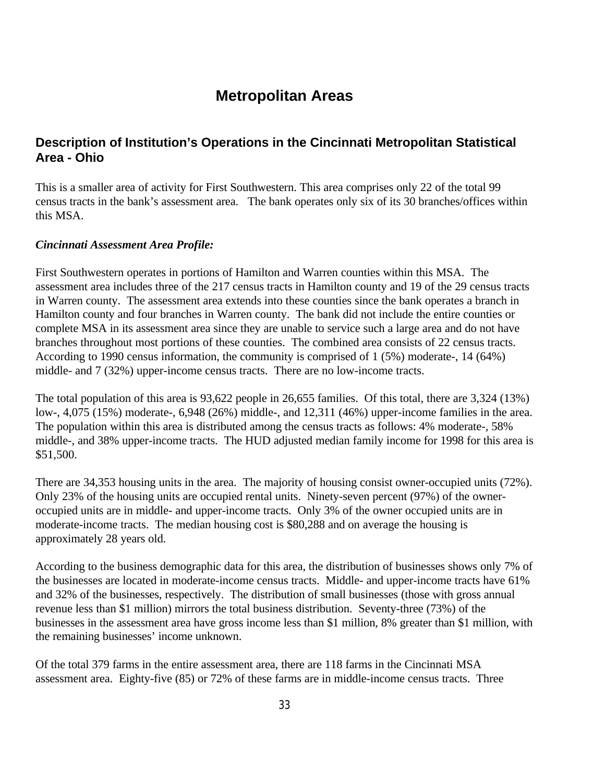# **Metropolitan Areas**

# **Description of Institution's Operations in the Cincinnati Metropolitan Statistical Area - Ohio**

This is a smaller area of activity for First Southwestern. This area comprises only 22 of the total 99 census tracts in the bank's assessment area. The bank operates only six of its 30 branches/offices within this MSA.

#### *Cincinnati Assessment Area Profile:*

First Southwestern operates in portions of Hamilton and Warren counties within this MSA. The assessment area includes three of the 217 census tracts in Hamilton county and 19 of the 29 census tracts in Warren county. The assessment area extends into these counties since the bank operates a branch in Hamilton county and four branches in Warren county. The bank did not include the entire counties or complete MSA in its assessment area since they are unable to service such a large area and do not have branches throughout most portions of these counties. The combined area consists of 22 census tracts. According to 1990 census information, the community is comprised of 1 (5%) moderate-, 14 (64%) middle- and 7 (32%) upper-income census tracts. There are no low-income tracts.

The total population of this area is 93,622 people in 26,655 families. Of this total, there are 3,324 (13%) low-, 4,075 (15%) moderate-, 6,948 (26%) middle-, and 12,311 (46%) upper-income families in the area. The population within this area is distributed among the census tracts as follows: 4% moderate-, 58% middle-, and 38% upper-income tracts. The HUD adjusted median family income for 1998 for this area is \$51,500.

There are 34,353 housing units in the area. The majority of housing consist owner-occupied units (72%). Only 23% of the housing units are occupied rental units. Ninety-seven percent (97%) of the owneroccupied units are in middle- and upper-income tracts. Only 3% of the owner occupied units are in moderate-income tracts. The median housing cost is \$80,288 and on average the housing is approximately 28 years old.

According to the business demographic data for this area, the distribution of businesses shows only 7% of the businesses are located in moderate-income census tracts. Middle- and upper-income tracts have 61% and 32% of the businesses, respectively. The distribution of small businesses (those with gross annual revenue less than \$1 million) mirrors the total business distribution. Seventy-three (73%) of the businesses in the assessment area have gross income less than \$1 million, 8% greater than \$1 million, with the remaining businesses' income unknown.

Of the total 379 farms in the entire assessment area, there are 118 farms in the Cincinnati MSA assessment area. Eighty-five (85) or 72% of these farms are in middle-income census tracts. Three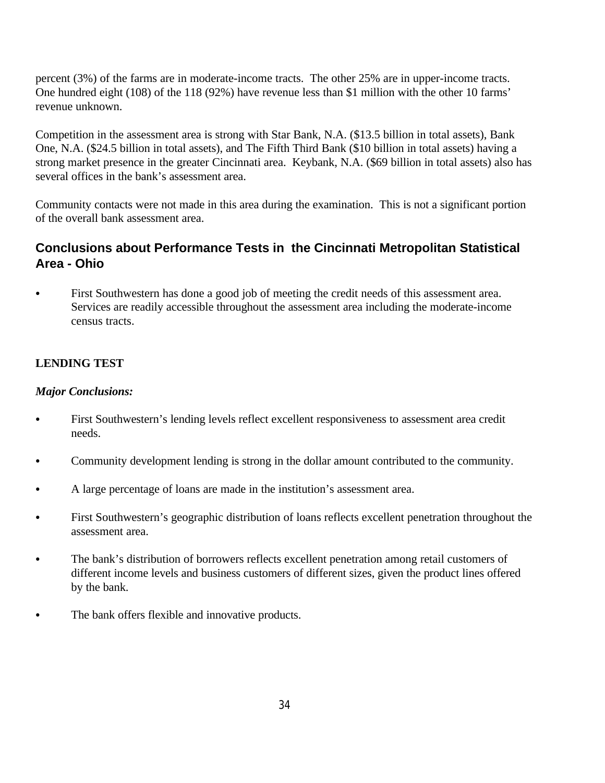percent (3%) of the farms are in moderate-income tracts. The other 25% are in upper-income tracts. One hundred eight (108) of the 118 (92%) have revenue less than \$1 million with the other 10 farms' revenue unknown.

Competition in the assessment area is strong with Star Bank, N.A. (\$13.5 billion in total assets), Bank One, N.A. (\$24.5 billion in total assets), and The Fifth Third Bank (\$10 billion in total assets) having a strong market presence in the greater Cincinnati area. Keybank, N.A. (\$69 billion in total assets) also has several offices in the bank's assessment area.

Community contacts were not made in this area during the examination. This is not a significant portion of the overall bank assessment area.

# **Conclusions about Performance Tests in the Cincinnati Metropolitan Statistical Area - Ohio**

• First Southwestern has done a good job of meeting the credit needs of this assessment area. Services are readily accessible throughout the assessment area including the moderate-income census tracts.

# **LENDING TEST**

# *Major Conclusions:*

- First Southwestern's lending levels reflect excellent responsiveness to assessment area credit needs.
- Community development lending is strong in the dollar amount contributed to the community.
- A large percentage of loans are made in the institution's assessment area.
- First Southwestern's geographic distribution of loans reflects excellent penetration throughout the assessment area.
- The bank's distribution of borrowers reflects excellent penetration among retail customers of different income levels and business customers of different sizes, given the product lines offered by the bank.
- The bank offers flexible and innovative products.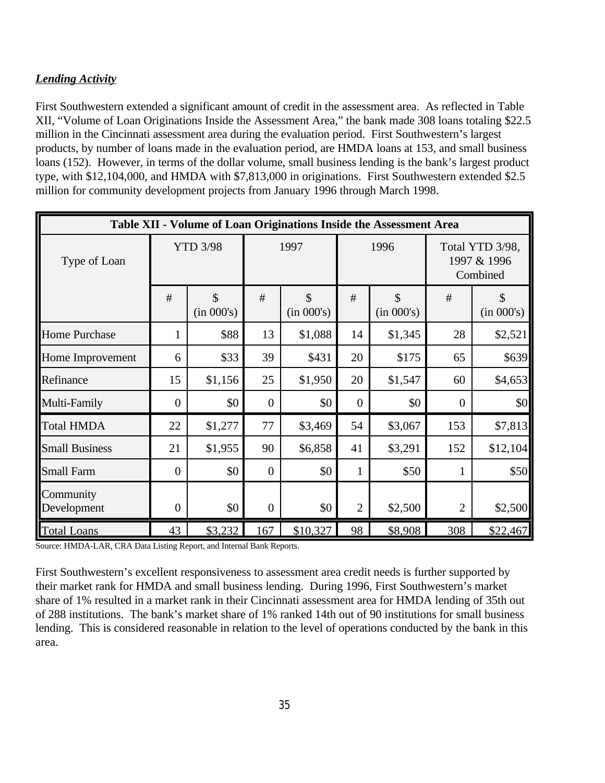# *Lending Activity*

First Southwestern extended a significant amount of credit in the assessment area. As reflected in Table XII, "Volume of Loan Originations Inside the Assessment Area," the bank made 308 loans totaling \$22.5 million in the Cincinnati assessment area during the evaluation period. First Southwestern's largest products, by number of loans made in the evaluation period, are HMDA loans at 153, and small business loans (152). However, in terms of the dollar volume, small business lending is the bank's largest product type, with \$12,104,000, and HMDA with \$7,813,000 in originations. First Southwestern extended \$2.5 million for community development projects from January 1996 through March 1998.

| Table XII - Volume of Loan Originations Inside the Assessment Area |                  |                                  |                |                  |                |                             |                                            |                  |  |  |
|--------------------------------------------------------------------|------------------|----------------------------------|----------------|------------------|----------------|-----------------------------|--------------------------------------------|------------------|--|--|
| Type of Loan                                                       | <b>YTD 3/98</b>  |                                  | 1997           |                  | 1996           |                             | Total YTD 3/98,<br>1997 & 1996<br>Combined |                  |  |  |
|                                                                    | #                | $\mathbf{\hat{S}}$<br>(in 000's) | #              | \$<br>(in 000's) | #              | $\mathcal{S}$<br>(in 000's) | #                                          | \$<br>(in 000's) |  |  |
| <b>Home Purchase</b>                                               | $\mathbf{1}$     | \$88                             | 13             | \$1,088          | 14             | \$1,345                     | 28                                         | \$2,521          |  |  |
| Home Improvement                                                   | 6                | \$33                             | 39             | \$431            | 20             | \$175                       | 65                                         | \$639            |  |  |
| Refinance                                                          | 15               | \$1,156                          | 25             | \$1,950          | 20             | \$1,547                     | 60                                         | \$4,653          |  |  |
| Multi-Family                                                       | $\overline{0}$   | \$0                              | $\overline{0}$ | \$0              | $\overline{0}$ | \$0                         | $\overline{0}$                             | \$0              |  |  |
| <b>Total HMDA</b>                                                  | 22               | \$1,277                          | 77             | \$3,469          | 54             | \$3,067                     | 153                                        | \$7,813          |  |  |
| <b>Small Business</b>                                              | 21               | \$1,955                          | 90             | \$6,858          | 41             | \$3,291                     | 152                                        | \$12,104         |  |  |
| <b>Small Farm</b>                                                  | $\overline{0}$   | \$0                              | $\overline{0}$ | \$0              | 1              | \$50                        | $\mathbf{1}$                               | \$50             |  |  |
| Community<br>Development                                           | $\boldsymbol{0}$ | \$0                              | $\overline{0}$ | \$0              | $\overline{2}$ | \$2,500                     | $\overline{2}$                             | \$2,500          |  |  |
| <b>Total Loans</b>                                                 | 43               | \$3,232                          | 167            | \$10,327         | 98             | \$8,908                     | 308                                        | \$22,467         |  |  |

Source: HMDA-LAR, CRA Data Listing Report, and Internal Bank Reports.

First Southwestern's excellent responsiveness to assessment area credit needs is further supported by their market rank for HMDA and small business lending. During 1996, First Southwestern's market share of 1% resulted in a market rank in their Cincinnati assessment area for HMDA lending of 35th out of 288 institutions. The bank's market share of 1% ranked 14th out of 90 institutions for small business lending. This is considered reasonable in relation to the level of operations conducted by the bank in this area.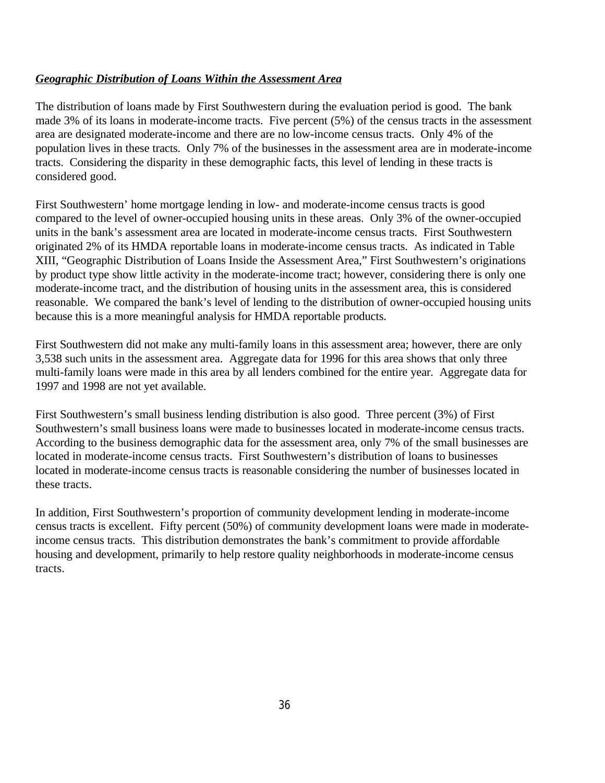# *Geographic Distribution of Loans Within the Assessment Area*

The distribution of loans made by First Southwestern during the evaluation period is good. The bank made 3% of its loans in moderate-income tracts. Five percent (5%) of the census tracts in the assessment area are designated moderate-income and there are no low-income census tracts. Only 4% of the population lives in these tracts. Only 7% of the businesses in the assessment area are in moderate-income tracts. Considering the disparity in these demographic facts, this level of lending in these tracts is considered good.

First Southwestern' home mortgage lending in low- and moderate-income census tracts is good compared to the level of owner-occupied housing units in these areas. Only 3% of the owner-occupied units in the bank's assessment area are located in moderate-income census tracts. First Southwestern originated 2% of its HMDA reportable loans in moderate-income census tracts. As indicated in Table XIII, "Geographic Distribution of Loans Inside the Assessment Area," First Southwestern's originations by product type show little activity in the moderate-income tract; however, considering there is only one moderate-income tract, and the distribution of housing units in the assessment area, this is considered reasonable. We compared the bank's level of lending to the distribution of owner-occupied housing units because this is a more meaningful analysis for HMDA reportable products.

First Southwestern did not make any multi-family loans in this assessment area; however, there are only 3,538 such units in the assessment area. Aggregate data for 1996 for this area shows that only three multi-family loans were made in this area by all lenders combined for the entire year. Aggregate data for 1997 and 1998 are not yet available.

First Southwestern's small business lending distribution is also good. Three percent (3%) of First Southwestern's small business loans were made to businesses located in moderate-income census tracts. According to the business demographic data for the assessment area, only 7% of the small businesses are located in moderate-income census tracts. First Southwestern's distribution of loans to businesses located in moderate-income census tracts is reasonable considering the number of businesses located in these tracts.

In addition, First Southwestern's proportion of community development lending in moderate-income census tracts is excellent. Fifty percent (50%) of community development loans were made in moderateincome census tracts. This distribution demonstrates the bank's commitment to provide affordable housing and development, primarily to help restore quality neighborhoods in moderate-income census tracts.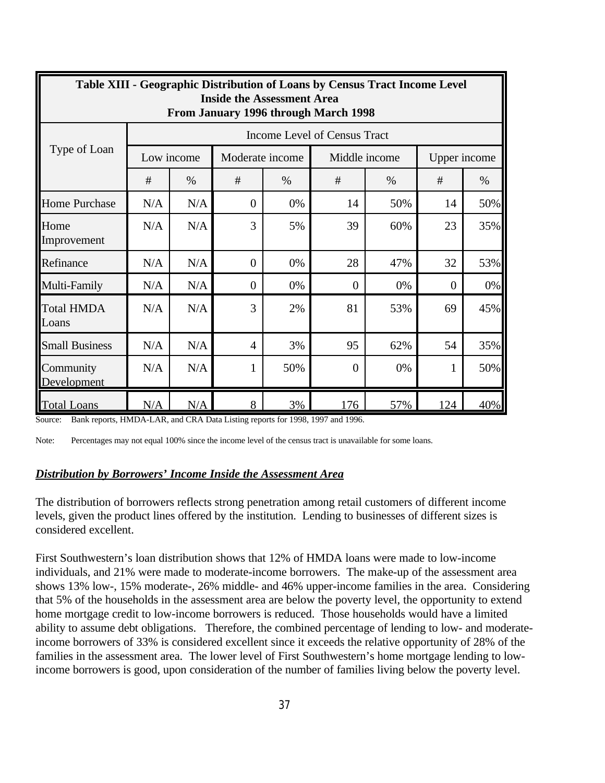| <b>Table XIII - Geographic Distribution of Loans by Census Tract Income Level</b><br><b>Inside the Assessment Area</b><br>From January 1996 through March 1998 |                              |      |                 |      |                |               |              |      |  |  |  |
|----------------------------------------------------------------------------------------------------------------------------------------------------------------|------------------------------|------|-----------------|------|----------------|---------------|--------------|------|--|--|--|
| Type of Loan                                                                                                                                                   | Income Level of Census Tract |      |                 |      |                |               |              |      |  |  |  |
|                                                                                                                                                                | Low income                   |      | Moderate income |      |                | Middle income | Upper income |      |  |  |  |
|                                                                                                                                                                | #                            | $\%$ | #               | $\%$ | #              | $\%$          | #            | $\%$ |  |  |  |
| <b>Home Purchase</b>                                                                                                                                           | N/A                          | N/A  | $\overline{0}$  | 0%   | 14             | 50%           | 14           | 50%  |  |  |  |
| Home<br>Improvement                                                                                                                                            | N/A                          | N/A  | 3               | 5%   | 39             | 60%           | 23           | 35%  |  |  |  |
| Refinance                                                                                                                                                      | N/A                          | N/A  | $\overline{0}$  | 0%   | 28             | 47%           | 32           | 53%  |  |  |  |
| Multi-Family                                                                                                                                                   | N/A                          | N/A  | $\overline{0}$  | 0%   | $\overline{0}$ | 0%            | $\theta$     | 0%   |  |  |  |
| <b>Total HMDA</b><br>Loans                                                                                                                                     | N/A                          | N/A  | 3               | 2%   | 81             | 53%           | 69           | 45%  |  |  |  |
| <b>Small Business</b>                                                                                                                                          | N/A                          | N/A  | $\overline{4}$  | 3%   | 95             | 62%           | 54           | 35%  |  |  |  |
| Community<br>Development                                                                                                                                       | N/A                          | N/A  | 1               | 50%  | $\Omega$       | 0%            | 1            | 50%  |  |  |  |
| <b>Total Loans</b>                                                                                                                                             | N/A                          | N/A  | 8               | 3%   | 176            | 57%           | 124          | 40%  |  |  |  |

Source: Bank reports, HMDA-LAR, and CRA Data Listing reports for 1998, 1997 and 1996.

Note: Percentages may not equal 100% since the income level of the census tract is unavailable for some loans.

#### *Distribution by Borrowers' Income Inside the Assessment Area*

The distribution of borrowers reflects strong penetration among retail customers of different income levels, given the product lines offered by the institution. Lending to businesses of different sizes is considered excellent.

First Southwestern's loan distribution shows that 12% of HMDA loans were made to low-income individuals, and 21% were made to moderate-income borrowers. The make-up of the assessment area shows 13% low-, 15% moderate-, 26% middle- and 46% upper-income families in the area. Considering that 5% of the households in the assessment area are below the poverty level, the opportunity to extend home mortgage credit to low-income borrowers is reduced. Those households would have a limited ability to assume debt obligations. Therefore, the combined percentage of lending to low- and moderateincome borrowers of 33% is considered excellent since it exceeds the relative opportunity of 28% of the families in the assessment area. The lower level of First Southwestern's home mortgage lending to lowincome borrowers is good, upon consideration of the number of families living below the poverty level.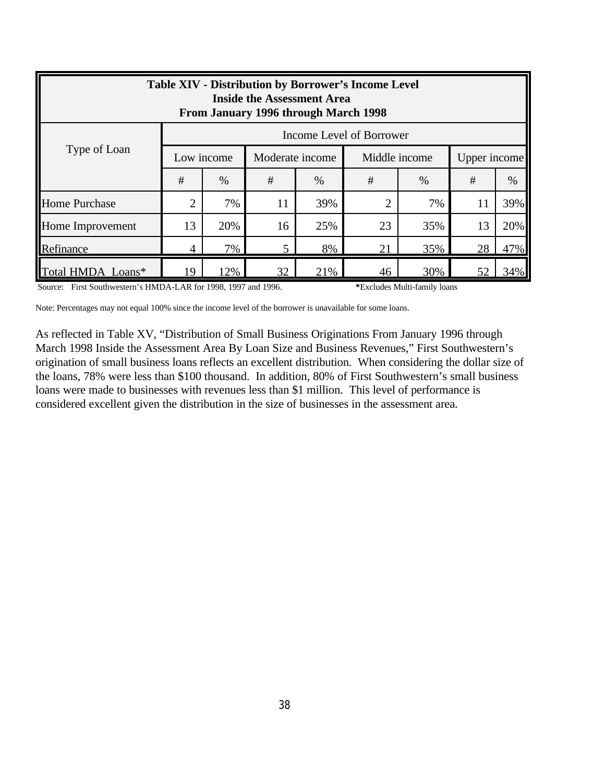| <b>Table XIV - Distribution by Borrower's Income Level</b><br><b>Inside the Assessment Area</b><br>From January 1996 through March 1998 |                          |      |                 |      |                |      |              |      |  |  |
|-----------------------------------------------------------------------------------------------------------------------------------------|--------------------------|------|-----------------|------|----------------|------|--------------|------|--|--|
|                                                                                                                                         | Income Level of Borrower |      |                 |      |                |      |              |      |  |  |
| Type of Loan                                                                                                                            | Low income               |      | Moderate income |      | Middle income  |      | Upper income |      |  |  |
|                                                                                                                                         | #                        | $\%$ | #               | $\%$ | #              | $\%$ | #            | $\%$ |  |  |
| <b>Home Purchase</b>                                                                                                                    | $\overline{2}$           | 7%   | 11              | 39%  | $\overline{2}$ | 7%   | 11           | 39%  |  |  |
| Home Improvement                                                                                                                        | 13                       | 20%  | 16              | 25%  | 23             | 35%  | 13           | 20%  |  |  |
| Refinance                                                                                                                               | 4                        | 7%   |                 | 8%   | 21             | 35%  | 28           | 47%  |  |  |
| Total HMDA Loans*                                                                                                                       | 19                       | 12%  | 32              | 21%  | 46             | 30%  | 52           | 34%  |  |  |

Source: First Southwestern's HMDA-LAR for 1998, 1997 and 1996. **\***Excludes Multi-family loans

Note: Percentages may not equal 100% since the income level of the borrower is unavailable for some loans.

As reflected in Table XV, "Distribution of Small Business Originations From January 1996 through March 1998 Inside the Assessment Area By Loan Size and Business Revenues," First Southwestern's origination of small business loans reflects an excellent distribution. When considering the dollar size of the loans, 78% were less than \$100 thousand. In addition, 80% of First Southwestern's small business loans were made to businesses with revenues less than \$1 million. This level of performance is considered excellent given the distribution in the size of businesses in the assessment area.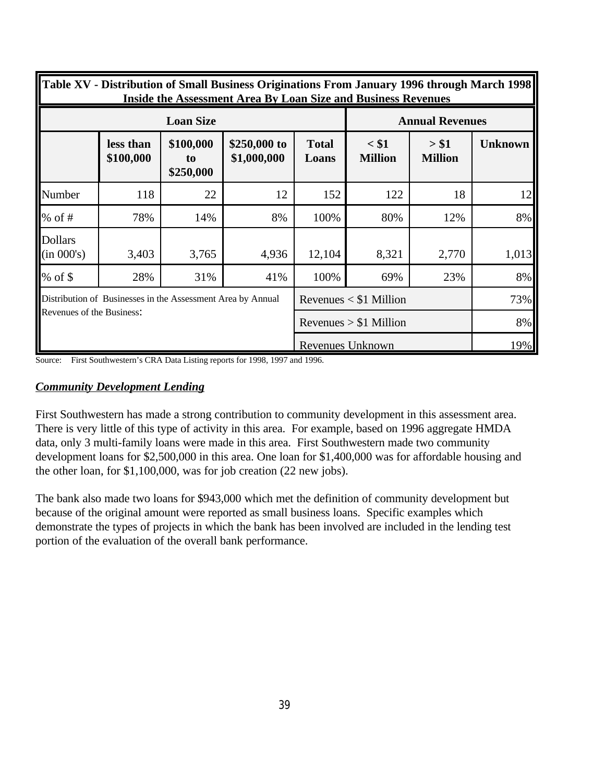| Table XV - Distribution of Small Business Originations From January 1996 through March 1998<br><b>Inside the Assessment Area By Loan Size and Business Revenues</b> |                                                             |                              |                             |                          |                           |                         |                |  |  |
|---------------------------------------------------------------------------------------------------------------------------------------------------------------------|-------------------------------------------------------------|------------------------------|-----------------------------|--------------------------|---------------------------|-------------------------|----------------|--|--|
|                                                                                                                                                                     |                                                             | <b>Loan Size</b>             | <b>Annual Revenues</b>      |                          |                           |                         |                |  |  |
|                                                                                                                                                                     | less than<br>\$100,000                                      | \$100,000<br>to<br>\$250,000 | \$250,000 to<br>\$1,000,000 | <b>Total</b><br>Loans    | $<$ \$1<br><b>Million</b> | > \$1<br><b>Million</b> | <b>Unknown</b> |  |  |
| Number                                                                                                                                                              | 118                                                         | 22                           | 12                          | 152                      | 122                       | 18                      | 12             |  |  |
| $%$ of #                                                                                                                                                            | 78%                                                         | 14%                          | 8%                          | 100%                     | 80%                       | 12%                     | 8%             |  |  |
| <b>Dollars</b><br>(in 000's)                                                                                                                                        | 3,403                                                       | 3,765                        | 4,936                       | 12,104                   | 8,321                     | 2,770                   | 1,013          |  |  |
| $%$ of \$                                                                                                                                                           | 28%                                                         | 31%                          | 41%                         | 100%                     | 69%                       | 23%                     | 8%             |  |  |
|                                                                                                                                                                     | Distribution of Businesses in the Assessment Area by Annual |                              |                             | Revenues $<$ \$1 Million | 73%                       |                         |                |  |  |
| Revenues of the Business:                                                                                                                                           |                                                             |                              |                             | Revenues $> $1$ Million  | 8%                        |                         |                |  |  |
|                                                                                                                                                                     |                                                             |                              |                             | Revenues Unknown         | 19%                       |                         |                |  |  |

Source: First Southwestern's CRA Data Listing reports for 1998, 1997 and 1996.

#### *Community Development Lending*

First Southwestern has made a strong contribution to community development in this assessment area. There is very little of this type of activity in this area. For example, based on 1996 aggregate HMDA data, only 3 multi-family loans were made in this area. First Southwestern made two community development loans for \$2,500,000 in this area. One loan for \$1,400,000 was for affordable housing and the other loan, for \$1,100,000, was for job creation (22 new jobs).

The bank also made two loans for \$943,000 which met the definition of community development but because of the original amount were reported as small business loans. Specific examples which demonstrate the types of projects in which the bank has been involved are included in the lending test portion of the evaluation of the overall bank performance.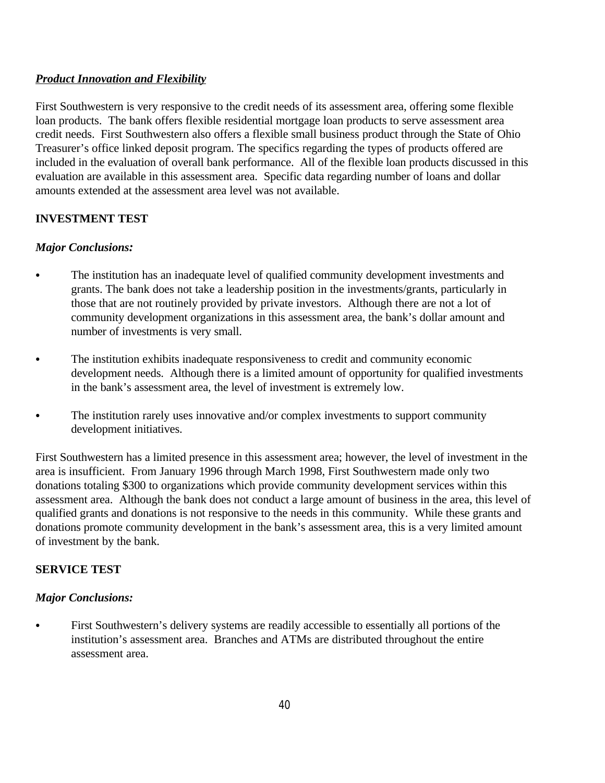# *Product Innovation and Flexibility*

First Southwestern is very responsive to the credit needs of its assessment area, offering some flexible loan products. The bank offers flexible residential mortgage loan products to serve assessment area credit needs. First Southwestern also offers a flexible small business product through the State of Ohio Treasurer's office linked deposit program. The specifics regarding the types of products offered are included in the evaluation of overall bank performance. All of the flexible loan products discussed in this evaluation are available in this assessment area. Specific data regarding number of loans and dollar amounts extended at the assessment area level was not available.

# **INVESTMENT TEST**

### *Major Conclusions:*

- The institution has an inadequate level of qualified community development investments and grants. The bank does not take a leadership position in the investments/grants, particularly in those that are not routinely provided by private investors. Although there are not a lot of community development organizations in this assessment area, the bank's dollar amount and number of investments is very small.
- The institution exhibits inadequate responsiveness to credit and community economic development needs. Although there is a limited amount of opportunity for qualified investments in the bank's assessment area, the level of investment is extremely low.
- The institution rarely uses innovative and/or complex investments to support community development initiatives.

First Southwestern has a limited presence in this assessment area; however, the level of investment in the area is insufficient. From January 1996 through March 1998, First Southwestern made only two donations totaling \$300 to organizations which provide community development services within this assessment area. Although the bank does not conduct a large amount of business in the area, this level of qualified grants and donations is not responsive to the needs in this community. While these grants and donations promote community development in the bank's assessment area, this is a very limited amount of investment by the bank.

# **SERVICE TEST**

#### *Major Conclusions:*

• First Southwestern's delivery systems are readily accessible to essentially all portions of the institution's assessment area. Branches and ATMs are distributed throughout the entire assessment area.